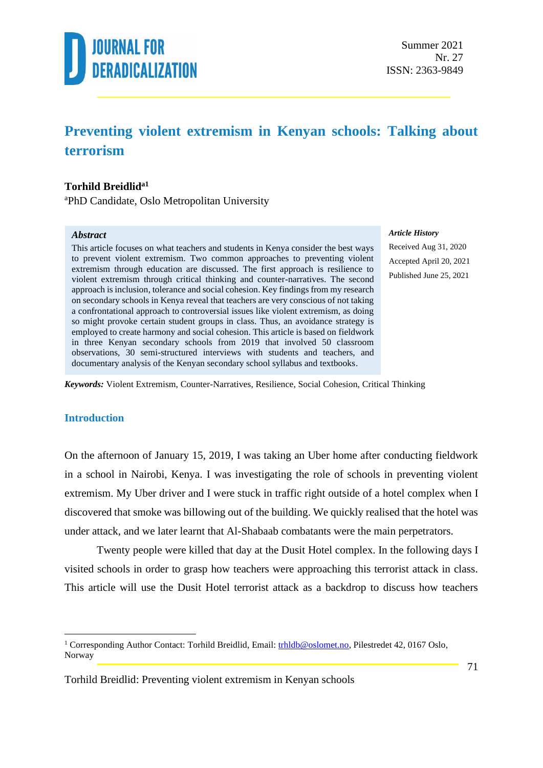

#### **Preventing violent extremism in Kenyan schools: Talking about terrorism**

#### **Torhild Breidlida1**

<sup>a</sup>PhD Candidate, Oslo Metropolitan University

#### *Abstract*

This article focuses on what teachers and students in Kenya consider the best ways to prevent violent extremism. Two common approaches to preventing violent extremism through education are discussed. The first approach is resilience to violent extremism through critical thinking and counter-narratives. The second approach is inclusion, tolerance and social cohesion. Key findings from my research on secondary schools in Kenya reveal that teachers are very conscious of not taking a confrontational approach to controversial issues like violent extremism, as doing so might provoke certain student groups in class. Thus, an avoidance strategy is employed to create harmony and social cohesion. This article is based on fieldwork in three Kenyan secondary schools from 2019 that involved 50 classroom observations, 30 semi-structured interviews with students and teachers, and documentary analysis of the Kenyan secondary school syllabus and textbooks.

#### *Article History*

Received Aug 31, 2020 Accepted April 20, 2021 Published June 25, 2021

*Keywords:* Violent Extremism, Counter-Narratives, Resilience, Social Cohesion, Critical Thinking

#### **Introduction**

On the afternoon of January 15, 2019, I was taking an Uber home after conducting fieldwork in a school in Nairobi, Kenya. I was investigating the role of schools in preventing violent extremism. My Uber driver and I were stuck in traffic right outside of a hotel complex when I discovered that smoke was billowing out of the building. We quickly realised that the hotel was under attack, and we later learnt that Al-Shabaab combatants were the main perpetrators.

Twenty people were killed that day at the Dusit Hotel complex. In the following days I visited schools in order to grasp how teachers were approaching this terrorist attack in class. This article will use the Dusit Hotel terrorist attack as a backdrop to discuss how teachers

<sup>&</sup>lt;sup>1</sup> Corresponding Author Contact: Torhild Breidlid, Email: [trhldb@oslomet.no,](mailto:trhldb@oslomet.no) Pilestredet 42, 0167 Oslo, Norway

Torhild Breidlid: Preventing violent extremism in Kenyan schools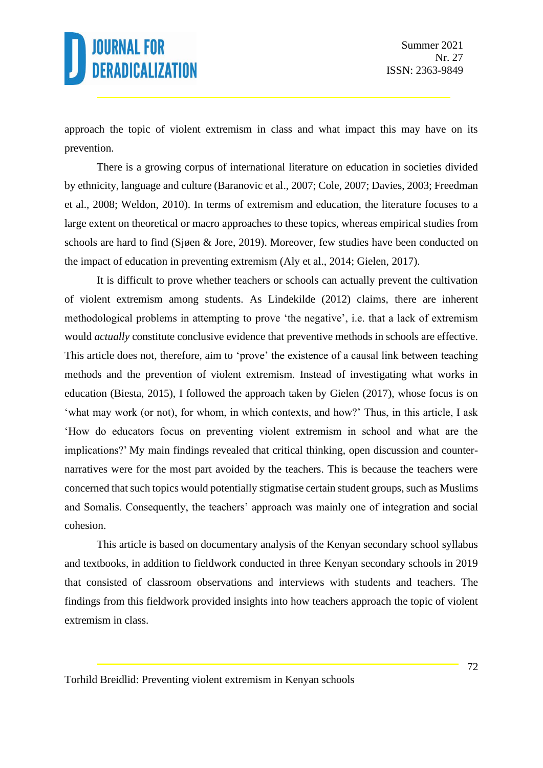approach the topic of violent extremism in class and what impact this may have on its prevention.

There is a growing corpus of international literature on education in societies divided by ethnicity, language and culture (Baranovic et al., 2007; Cole, 2007; Davies, 2003; Freedman et al., 2008; Weldon, 2010). In terms of extremism and education, the literature focuses to a large extent on theoretical or macro approaches to these topics, whereas empirical studies from schools are hard to find (Sjøen & Jore, 2019). Moreover, few studies have been conducted on the impact of education in preventing extremism (Aly et al., 2014; Gielen, 2017).

It is difficult to prove whether teachers or schools can actually prevent the cultivation of violent extremism among students. As Lindekilde (2012) claims, there are inherent methodological problems in attempting to prove 'the negative', i.e. that a lack of extremism would *actually* constitute conclusive evidence that preventive methods in schools are effective. This article does not, therefore, aim to 'prove' the existence of a causal link between teaching methods and the prevention of violent extremism. Instead of investigating what works in education (Biesta, 2015), I followed the approach taken by Gielen (2017), whose focus is on 'what may work (or not), for whom, in which contexts, and how?' Thus, in this article, I ask 'How do educators focus on preventing violent extremism in school and what are the implications?' My main findings revealed that critical thinking, open discussion and counternarratives were for the most part avoided by the teachers. This is because the teachers were concerned that such topics would potentially stigmatise certain student groups, such as Muslims and Somalis. Consequently, the teachers' approach was mainly one of integration and social cohesion.

This article is based on documentary analysis of the Kenyan secondary school syllabus and textbooks, in addition to fieldwork conducted in three Kenyan secondary schools in 2019 that consisted of classroom observations and interviews with students and teachers. The findings from this fieldwork provided insights into how teachers approach the topic of violent extremism in class.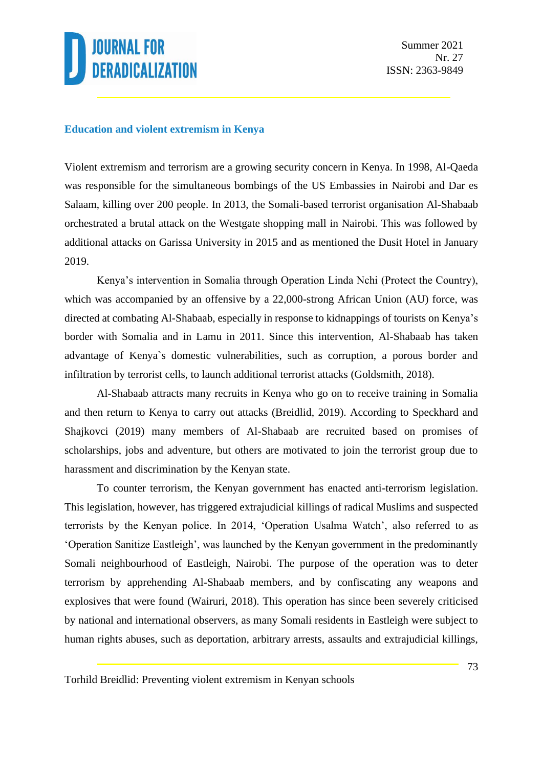#### **Education and violent extremism in Kenya**

Violent extremism and terrorism are a growing security concern in Kenya. In 1998, Al-Qaeda was responsible for the simultaneous bombings of the US Embassies in Nairobi and Dar es Salaam, killing over 200 people. In 2013, the Somali-based terrorist organisation Al-Shabaab orchestrated a brutal attack on the Westgate shopping mall in Nairobi. This was followed by additional attacks on Garissa University in 2015 and as mentioned the Dusit Hotel in January 2019.

Kenya's intervention in Somalia through Operation Linda Nchi (Protect the Country), which was accompanied by an offensive by a 22,000-strong African Union (AU) force, was directed at combating Al-Shabaab, especially in response to kidnappings of tourists on Kenya's border with Somalia and in Lamu in 2011. Since this intervention, Al-Shabaab has taken advantage of Kenya`s domestic vulnerabilities, such as corruption, a porous border and infiltration by terrorist cells, to launch additional terrorist attacks (Goldsmith, 2018).

Al-Shabaab attracts many recruits in Kenya who go on to receive training in Somalia and then return to Kenya to carry out attacks (Breidlid, 2019). According to Speckhard and Shajkovci (2019) many members of Al-Shabaab are recruited based on promises of scholarships, jobs and adventure, but others are motivated to join the terrorist group due to harassment and discrimination by the Kenyan state.

To counter terrorism, the Kenyan government has enacted anti-terrorism legislation. This legislation, however, has triggered extrajudicial killings of radical Muslims and suspected terrorists by the Kenyan police. In 2014, 'Operation Usalma Watch', also referred to as 'Operation Sanitize Eastleigh', was launched by the Kenyan government in the predominantly Somali neighbourhood of Eastleigh, Nairobi. The purpose of the operation was to deter terrorism by apprehending Al-Shabaab members, and by confiscating any weapons and explosives that were found (Wairuri, 2018). This operation has since been severely criticised by national and international observers, as many Somali residents in Eastleigh were subject to human rights abuses, such as deportation, arbitrary arrests, assaults and extrajudicial killings,

Torhild Breidlid: Preventing violent extremism in Kenyan schools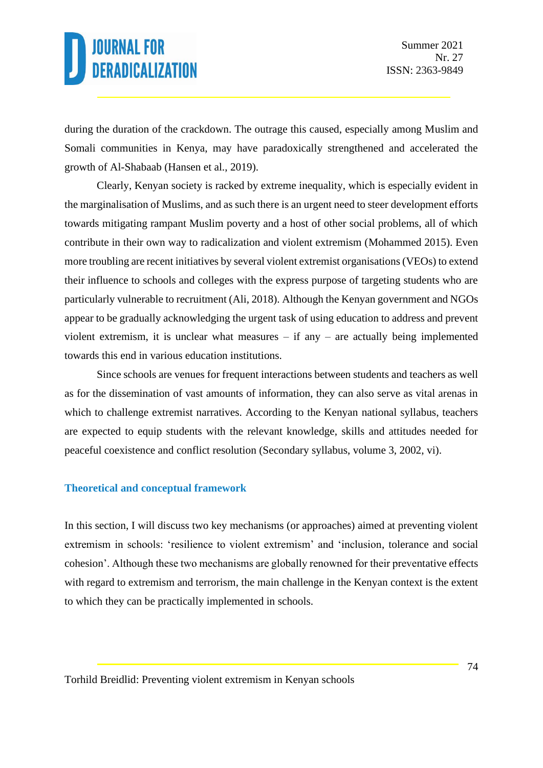during the duration of the crackdown. The outrage this caused, especially among Muslim and Somali communities in Kenya, may have paradoxically strengthened and accelerated the growth of Al-Shabaab (Hansen et al., 2019).

Clearly, Kenyan society is racked by extreme inequality, which is especially evident in the marginalisation of Muslims, and as such there is an urgent need to steer development efforts towards mitigating rampant Muslim poverty and a host of other social problems, all of which contribute in their own way to radicalization and violent extremism (Mohammed 2015). Even more troubling are recent initiatives by several violent extremist organisations (VEOs) to extend their influence to schools and colleges with the express purpose of targeting students who are particularly vulnerable to recruitment (Ali, 2018). Although the Kenyan government and NGOs appear to be gradually acknowledging the urgent task of using education to address and prevent violent extremism, it is unclear what measures – if any – are actually being implemented towards this end in various education institutions.

Since schools are venues for frequent interactions between students and teachers as well as for the dissemination of vast amounts of information, they can also serve as vital arenas in which to challenge extremist narratives. According to the Kenyan national syllabus, teachers are expected to equip students with the relevant knowledge, skills and attitudes needed for peaceful coexistence and conflict resolution (Secondary syllabus, volume 3, 2002, vi).

#### **Theoretical and conceptual framework**

In this section, I will discuss two key mechanisms (or approaches) aimed at preventing violent extremism in schools: 'resilience to violent extremism' and 'inclusion, tolerance and social cohesion'. Although these two mechanisms are globally renowned for their preventative effects with regard to extremism and terrorism, the main challenge in the Kenyan context is the extent to which they can be practically implemented in schools.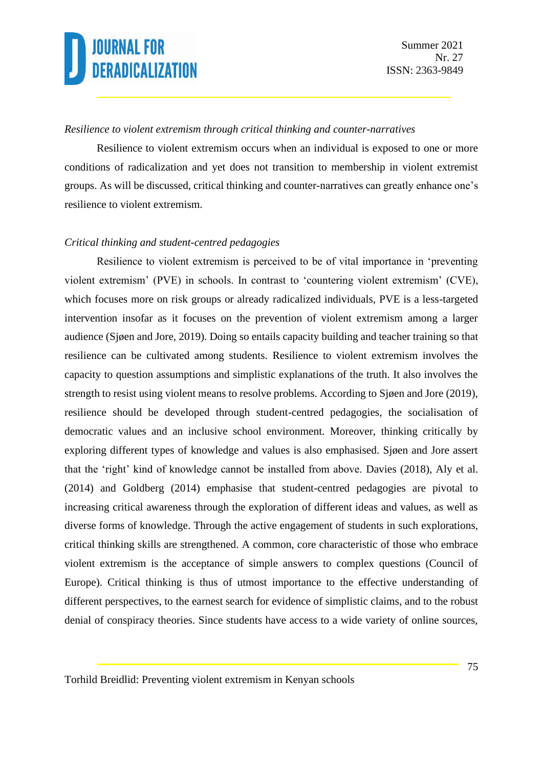#### *Resilience to violent extremism through critical thinking and counter-narratives*

Resilience to violent extremism occurs when an individual is exposed to one or more conditions of radicalization and yet does not transition to membership in violent extremist groups. As will be discussed, critical thinking and counter-narratives can greatly enhance one's resilience to violent extremism.

#### *Critical thinking and student-centred pedagogies*

Resilience to violent extremism is perceived to be of vital importance in 'preventing violent extremism' (PVE) in schools. In contrast to 'countering violent extremism' (CVE), which focuses more on risk groups or already radicalized individuals, PVE is a less-targeted intervention insofar as it focuses on the prevention of violent extremism among a larger audience (Sjøen and Jore, 2019). Doing so entails capacity building and teacher training so that resilience can be cultivated among students. Resilience to violent extremism involves the capacity to question assumptions and simplistic explanations of the truth. It also involves the strength to resist using violent means to resolve problems. According to Sjøen and Jore (2019), resilience should be developed through student-centred pedagogies, the socialisation of democratic values and an inclusive school environment. Moreover, thinking critically by exploring different types of knowledge and values is also emphasised. Sjøen and Jore assert that the 'right' kind of knowledge cannot be installed from above. Davies (2018), Aly et al. (2014) and Goldberg (2014) emphasise that student-centred pedagogies are pivotal to increasing critical awareness through the exploration of different ideas and values, as well as diverse forms of knowledge. Through the active engagement of students in such explorations, critical thinking skills are strengthened. A common, core characteristic of those who embrace violent extremism is the acceptance of simple answers to complex questions (Council of Europe). Critical thinking is thus of utmost importance to the effective understanding of different perspectives, to the earnest search for evidence of simplistic claims, and to the robust denial of conspiracy theories. Since students have access to a wide variety of online sources,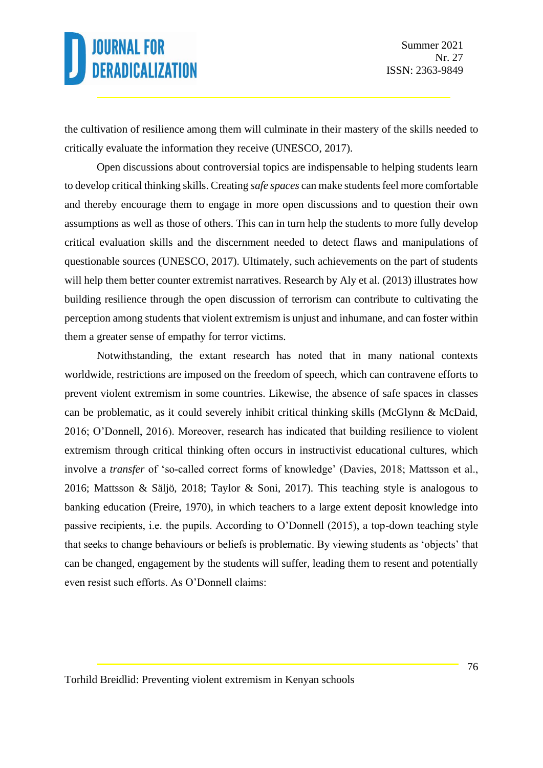the cultivation of resilience among them will culminate in their mastery of the skills needed to critically evaluate the information they receive (UNESCO, 2017).

Open discussions about controversial topics are indispensable to helping students learn to develop critical thinking skills. Creating *safe spaces* can make students feel more comfortable and thereby encourage them to engage in more open discussions and to question their own assumptions as well as those of others. This can in turn help the students to more fully develop critical evaluation skills and the discernment needed to detect flaws and manipulations of questionable sources (UNESCO, 2017). Ultimately, such achievements on the part of students will help them better counter extremist narratives. Research by Aly et al. (2013) illustrates how building resilience through the open discussion of terrorism can contribute to cultivating the perception among students that violent extremism is unjust and inhumane, and can foster within them a greater sense of empathy for terror victims.

Notwithstanding, the extant research has noted that in many national contexts worldwide, restrictions are imposed on the freedom of speech, which can contravene efforts to prevent violent extremism in some countries. Likewise, the absence of safe spaces in classes can be problematic, as it could severely inhibit critical thinking skills (McGlynn & McDaid, 2016; O'Donnell, 2016). Moreover, research has indicated that building resilience to violent extremism through critical thinking often occurs in instructivist educational cultures, which involve a *transfer* of 'so-called correct forms of knowledge' (Davies, 2018; Mattsson et al., 2016; Mattsson & Säljö, 2018; Taylor & Soni, 2017). This teaching style is analogous to banking education (Freire, 1970), in which teachers to a large extent deposit knowledge into passive recipients, i.e. the pupils. According to O'Donnell (2015), a top-down teaching style that seeks to change behaviours or beliefs is problematic. By viewing students as 'objects' that can be changed, engagement by the students will suffer, leading them to resent and potentially even resist such efforts. As O'Donnell claims: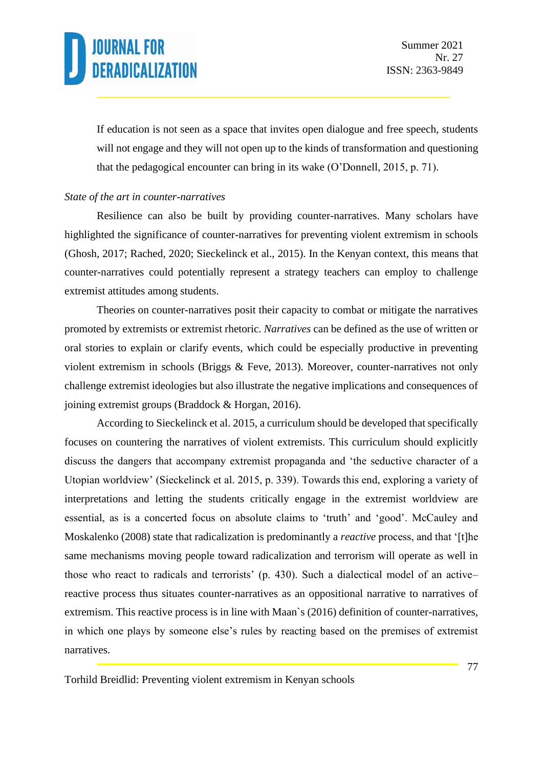If education is not seen as a space that invites open dialogue and free speech, students will not engage and they will not open up to the kinds of transformation and questioning that the pedagogical encounter can bring in its wake (O'Donnell, 2015, p. 71).

#### *State of the art in counter-narratives*

Resilience can also be built by providing counter-narratives. Many scholars have highlighted the significance of counter-narratives for preventing violent extremism in schools (Ghosh, 2017; Rached, 2020; Sieckelinck et al., 2015). In the Kenyan context, this means that counter-narratives could potentially represent a strategy teachers can employ to challenge extremist attitudes among students.

Theories on counter-narratives posit their capacity to combat or mitigate the narratives promoted by extremists or extremist rhetoric. *Narratives* can be defined as the use of written or oral stories to explain or clarify events, which could be especially productive in preventing violent extremism in schools (Briggs & Feve, 2013). Moreover, counter-narratives not only challenge extremist ideologies but also illustrate the negative implications and consequences of joining extremist groups (Braddock & Horgan, 2016).

According to Sieckelinck et al. 2015, a curriculum should be developed that specifically focuses on countering the narratives of violent extremists. This curriculum should explicitly discuss the dangers that accompany extremist propaganda and 'the seductive character of a Utopian worldview' (Sieckelinck et al. 2015, p. 339). Towards this end, exploring a variety of interpretations and letting the students critically engage in the extremist worldview are essential, as is a concerted focus on absolute claims to 'truth' and 'good'. McCauley and Moskalenko (2008) state that radicalization is predominantly a *reactive* process, and that '[t]he same mechanisms moving people toward radicalization and terrorism will operate as well in those who react to radicals and terrorists' (p. 430). Such a dialectical model of an active– reactive process thus situates counter-narratives as an oppositional narrative to narratives of extremism. This reactive process is in line with Maan`s (2016) definition of counter-narratives, in which one plays by someone else's rules by reacting based on the premises of extremist narratives.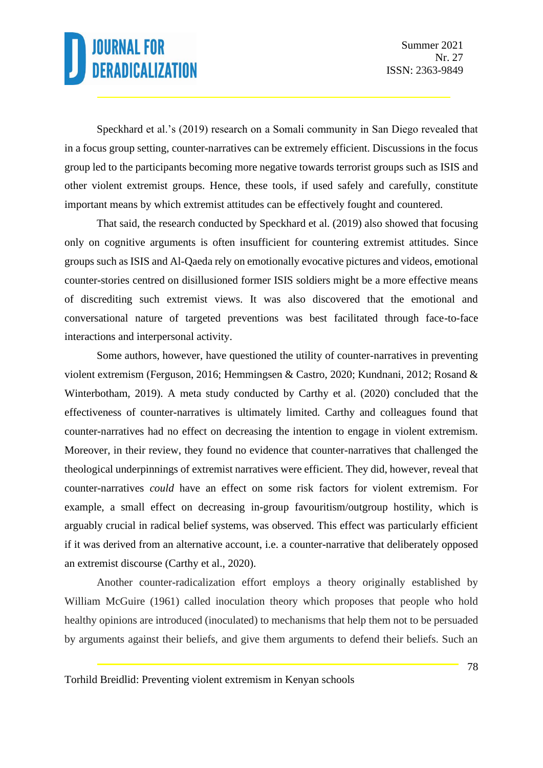Speckhard et al.'s (2019) research on a Somali community in San Diego revealed that in a focus group setting, counter-narratives can be extremely efficient. Discussions in the focus group led to the participants becoming more negative towards terrorist groups such as ISIS and other violent extremist groups. Hence, these tools, if used safely and carefully, constitute important means by which extremist attitudes can be effectively fought and countered.

That said, the research conducted by Speckhard et al. (2019) also showed that focusing only on cognitive arguments is often insufficient for countering extremist attitudes. Since groups such as ISIS and Al-Qaeda rely on emotionally evocative pictures and videos, emotional counter-stories centred on disillusioned former ISIS soldiers might be a more effective means of discrediting such extremist views. It was also discovered that the emotional and conversational nature of targeted preventions was best facilitated through face-to-face interactions and interpersonal activity.

Some authors, however, have questioned the utility of counter-narratives in preventing violent extremism (Ferguson, 2016; Hemmingsen & Castro, 2020; Kundnani, 2012; Rosand & Winterbotham, 2019). A meta study conducted by Carthy et al. (2020) concluded that the effectiveness of counter-narratives is ultimately limited. Carthy and colleagues found that counter-narratives had no effect on decreasing the intention to engage in violent extremism. Moreover, in their review, they found no evidence that counter-narratives that challenged the theological underpinnings of extremist narratives were efficient. They did, however, reveal that counter-narratives *could* have an effect on some risk factors for violent extremism. For example, a small effect on decreasing in-group favouritism/outgroup hostility, which is arguably crucial in radical belief systems, was observed. This effect was particularly efficient if it was derived from an alternative account, i.e. a counter-narrative that deliberately opposed an extremist discourse (Carthy et al., 2020).

Another counter-radicalization effort employs a theory originally established by William McGuire (1961) called inoculation theory which proposes that people who hold healthy opinions are introduced (inoculated) to mechanisms that help them not to be persuaded by arguments against their beliefs, and give them arguments to defend their beliefs. Such an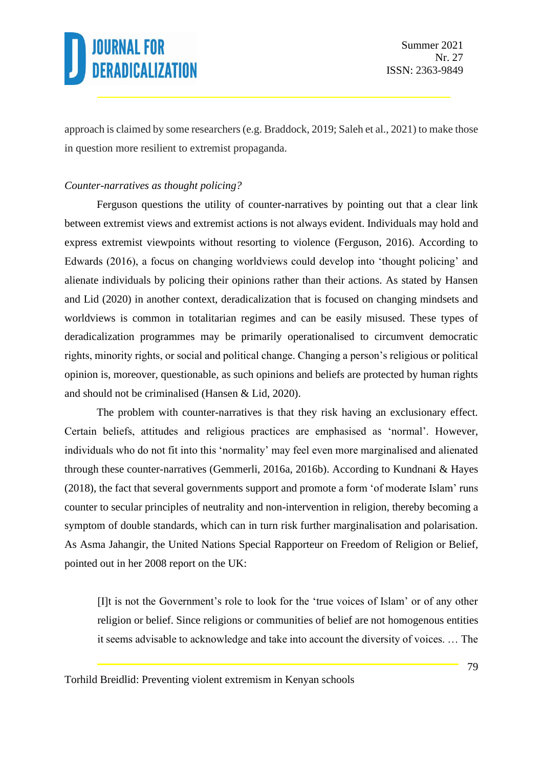approach is claimed by some researchers (e.g. Braddock, 2019; Saleh et al., 2021) to make those in question more resilient to extremist propaganda.

#### *Counter-narratives as thought policing?*

Ferguson questions the utility of counter-narratives by pointing out that a clear link between extremist views and extremist actions is not always evident. Individuals may hold and express extremist viewpoints without resorting to violence (Ferguson, 2016). According to Edwards (2016), a focus on changing worldviews could develop into 'thought policing' and alienate individuals by policing their opinions rather than their actions. As stated by Hansen and Lid (2020) in another context, deradicalization that is focused on changing mindsets and worldviews is common in totalitarian regimes and can be easily misused. These types of deradicalization programmes may be primarily operationalised to circumvent democratic rights, minority rights, or social and political change. Changing a person's religious or political opinion is, moreover, questionable, as such opinions and beliefs are protected by human rights and should not be criminalised (Hansen & Lid, 2020).

The problem with counter-narratives is that they risk having an exclusionary effect. Certain beliefs, attitudes and religious practices are emphasised as 'normal'. However, individuals who do not fit into this 'normality' may feel even more marginalised and alienated through these counter-narratives (Gemmerli, 2016a, 2016b). According to Kundnani & Hayes (2018), the fact that several governments support and promote a form 'of moderate Islam' runs counter to secular principles of neutrality and non-intervention in religion, thereby becoming a symptom of double standards, which can in turn risk further marginalisation and polarisation. As Asma Jahangir, the United Nations Special Rapporteur on Freedom of Religion or Belief, pointed out in her 2008 report on the UK:

[I]t is not the Government's role to look for the 'true voices of Islam' or of any other religion or belief. Since religions or communities of belief are not homogenous entities it seems advisable to acknowledge and take into account the diversity of voices. … The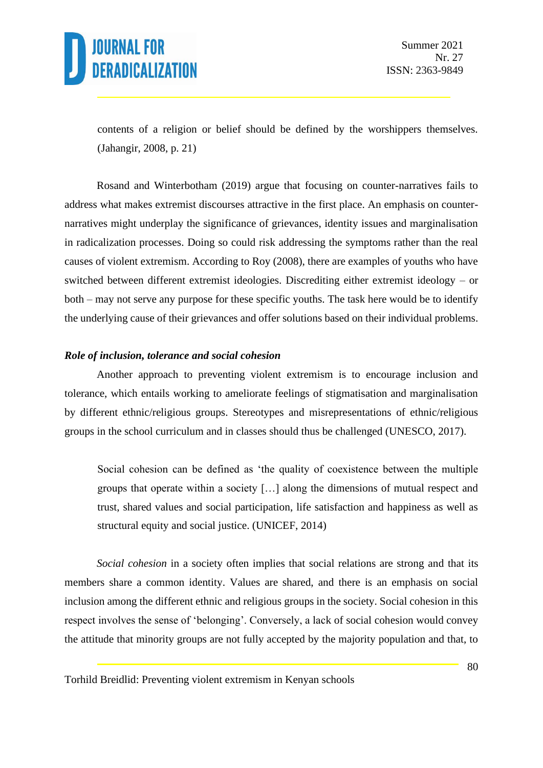

contents of a religion or belief should be defined by the worshippers themselves. (Jahangir, 2008, p. 21)

Rosand and Winterbotham (2019) argue that focusing on counter-narratives fails to address what makes extremist discourses attractive in the first place. An emphasis on counternarratives might underplay the significance of grievances, identity issues and marginalisation in radicalization processes. Doing so could risk addressing the symptoms rather than the real causes of violent extremism. According to Roy (2008), there are examples of youths who have switched between different extremist ideologies. Discrediting either extremist ideology – or both – may not serve any purpose for these specific youths. The task here would be to identify the underlying cause of their grievances and offer solutions based on their individual problems.

#### *Role of inclusion, tolerance and social cohesion*

Another approach to preventing violent extremism is to encourage inclusion and tolerance, which entails working to ameliorate feelings of stigmatisation and marginalisation by different ethnic/religious groups. Stereotypes and misrepresentations of ethnic/religious groups in the school curriculum and in classes should thus be challenged (UNESCO, 2017).

Social cohesion can be defined as 'the quality of coexistence between the multiple groups that operate within a society […] along the dimensions of mutual respect and trust, shared values and social participation, life satisfaction and happiness as well as structural equity and social justice. (UNICEF, 2014)

*Social cohesion* in a society often implies that social relations are strong and that its members share a common identity. Values are shared, and there is an emphasis on social inclusion among the different ethnic and religious groups in the society. Social cohesion in this respect involves the sense of 'belonging'. Conversely, a lack of social cohesion would convey the attitude that minority groups are not fully accepted by the majority population and that, to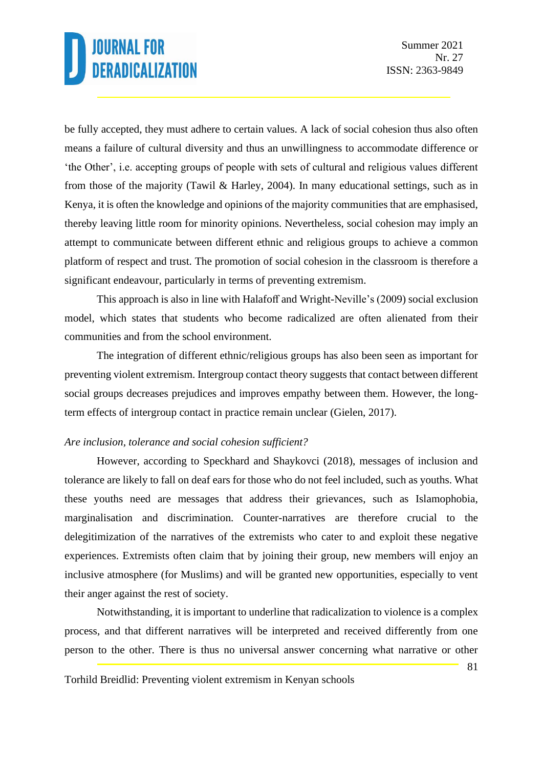be fully accepted, they must adhere to certain values. A lack of social cohesion thus also often means a failure of cultural diversity and thus an unwillingness to accommodate difference or 'the Other', i.e. accepting groups of people with sets of cultural and religious values different from those of the majority (Tawil & Harley, 2004). In many educational settings, such as in Kenya, it is often the knowledge and opinions of the majority communities that are emphasised, thereby leaving little room for minority opinions. Nevertheless, social cohesion may imply an attempt to communicate between different ethnic and religious groups to achieve a common platform of respect and trust. The promotion of social cohesion in the classroom is therefore a significant endeavour, particularly in terms of preventing extremism.

This approach is also in line with Halafoff and Wright-Neville's (2009) social exclusion model, which states that students who become radicalized are often alienated from their communities and from the school environment.

The integration of different ethnic/religious groups has also been seen as important for preventing violent extremism. Intergroup contact theory suggests that contact between different social groups decreases prejudices and improves empathy between them. However, the longterm effects of intergroup contact in practice remain unclear (Gielen, 2017).

#### *Are inclusion, tolerance and social cohesion sufficient?*

However, according to Speckhard and Shaykovci (2018), messages of inclusion and tolerance are likely to fall on deaf ears for those who do not feel included, such as youths. What these youths need are messages that address their grievances, such as Islamophobia, marginalisation and discrimination. Counter-narratives are therefore crucial to the delegitimization of the narratives of the extremists who cater to and exploit these negative experiences. Extremists often claim that by joining their group, new members will enjoy an inclusive atmosphere (for Muslims) and will be granted new opportunities, especially to vent their anger against the rest of society.

Notwithstanding, it is important to underline that radicalization to violence is a complex process, and that different narratives will be interpreted and received differently from one person to the other. There is thus no universal answer concerning what narrative or other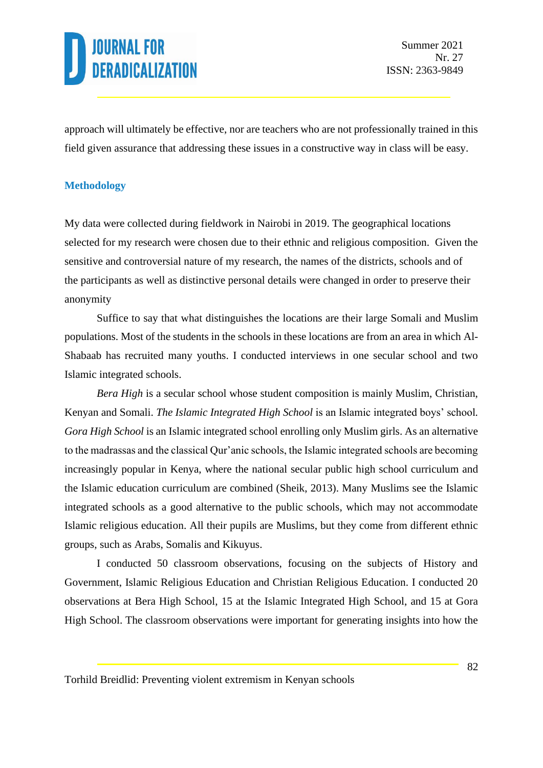approach will ultimately be effective, nor are teachers who are not professionally trained in this field given assurance that addressing these issues in a constructive way in class will be easy.

#### **Methodology**

My data were collected during fieldwork in Nairobi in 2019. The geographical locations selected for my research were chosen due to their ethnic and religious composition. Given the sensitive and controversial nature of my research, the names of the districts, schools and of the participants as well as distinctive personal details were changed in order to preserve their anonymity

Suffice to say that what distinguishes the locations are their large Somali and Muslim populations. Most of the students in the schools in these locations are from an area in which Al-Shabaab has recruited many youths. I conducted interviews in one secular school and two Islamic integrated schools.

*Bera High* is a secular school whose student composition is mainly Muslim, Christian, Kenyan and Somali. *The Islamic Integrated High School* is an Islamic integrated boys' school*. Gora High School* is an Islamic integrated school enrolling only Muslim girls. As an alternative to the madrassas and the classical Qur'anic schools, the Islamic integrated schools are becoming increasingly popular in Kenya, where the national secular public high school curriculum and the Islamic education curriculum are combined (Sheik, 2013). Many Muslims see the Islamic integrated schools as a good alternative to the public schools, which may not accommodate Islamic religious education. All their pupils are Muslims, but they come from different ethnic groups, such as Arabs, Somalis and Kikuyus.

I conducted 50 classroom observations, focusing on the subjects of History and Government, Islamic Religious Education and Christian Religious Education. I conducted 20 observations at Bera High School, 15 at the Islamic Integrated High School, and 15 at Gora High School. The classroom observations were important for generating insights into how the

Torhild Breidlid: Preventing violent extremism in Kenyan schools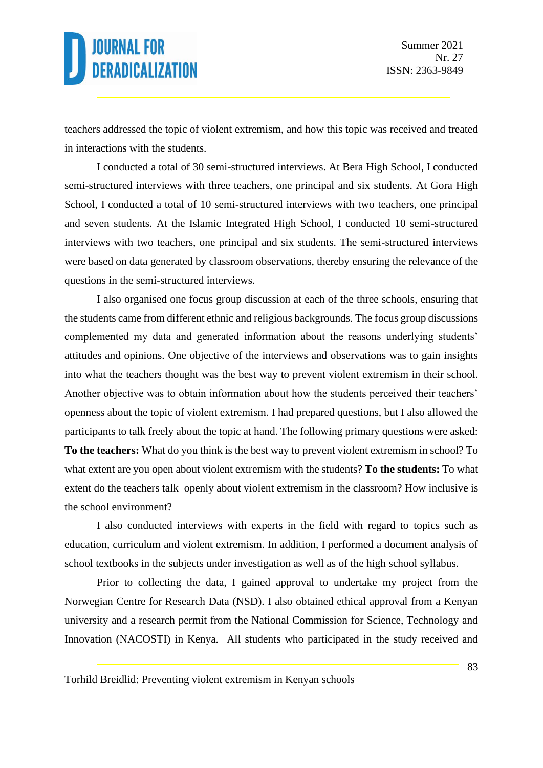teachers addressed the topic of violent extremism, and how this topic was received and treated in interactions with the students.

I conducted a total of 30 semi-structured interviews. At Bera High School, I conducted semi-structured interviews with three teachers, one principal and six students. At Gora High School, I conducted a total of 10 semi-structured interviews with two teachers, one principal and seven students. At the Islamic Integrated High School, I conducted 10 semi-structured interviews with two teachers, one principal and six students. The semi-structured interviews were based on data generated by classroom observations, thereby ensuring the relevance of the questions in the semi-structured interviews.

I also organised one focus group discussion at each of the three schools, ensuring that the students came from different ethnic and religious backgrounds. The focus group discussions complemented my data and generated information about the reasons underlying students' attitudes and opinions. One objective of the interviews and observations was to gain insights into what the teachers thought was the best way to prevent violent extremism in their school. Another objective was to obtain information about how the students perceived their teachers' openness about the topic of violent extremism. I had prepared questions, but I also allowed the participants to talk freely about the topic at hand. The following primary questions were asked: **To the teachers:** What do you think is the best way to prevent violent extremism in school? To what extent are you open about violent extremism with the students? **To the students:** To what extent do the teachers talk openly about violent extremism in the classroom? How inclusive is the school environment?

I also conducted interviews with experts in the field with regard to topics such as education, curriculum and violent extremism. In addition, I performed a document analysis of school textbooks in the subjects under investigation as well as of the high school syllabus.

Prior to collecting the data, I gained approval to undertake my project from the Norwegian Centre for Research Data (NSD). I also obtained ethical approval from a Kenyan university and a research permit from the National Commission for Science, Technology and Innovation (NACOSTI) in Kenya. All students who participated in the study received and

Torhild Breidlid: Preventing violent extremism in Kenyan schools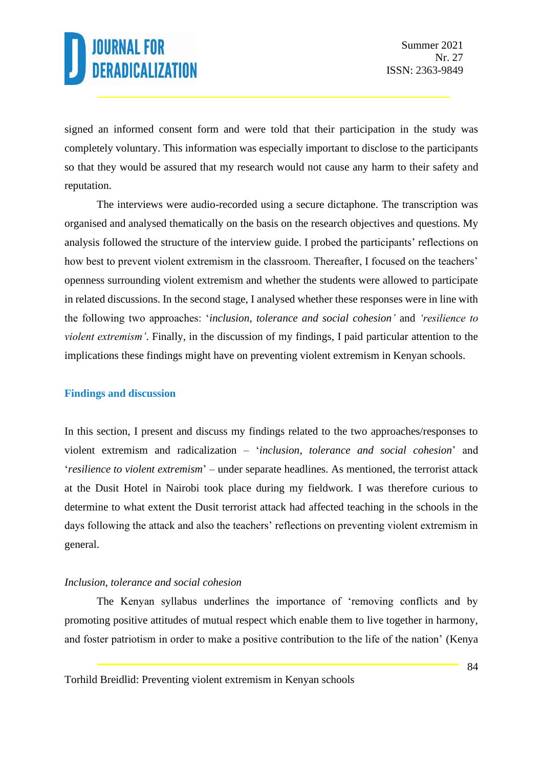signed an informed consent form and were told that their participation in the study was completely voluntary. This information was especially important to disclose to the participants so that they would be assured that my research would not cause any harm to their safety and reputation.

The interviews were audio-recorded using a secure dictaphone. The transcription was organised and analysed thematically on the basis on the research objectives and questions. My analysis followed the structure of the interview guide. I probed the participants' reflections on how best to prevent violent extremism in the classroom. Thereafter, I focused on the teachers' openness surrounding violent extremism and whether the students were allowed to participate in related discussions. In the second stage, I analysed whether these responses were in line with the following two approaches: '*inclusion, tolerance and social cohesion'* and *'resilience to violent extremism'*. Finally, in the discussion of my findings, I paid particular attention to the implications these findings might have on preventing violent extremism in Kenyan schools.

#### **Findings and discussion**

In this section, I present and discuss my findings related to the two approaches/responses to violent extremism and radicalization – '*inclusion, tolerance and social cohesion*' and '*resilience to violent extremism*' – under separate headlines. As mentioned, the terrorist attack at the Dusit Hotel in Nairobi took place during my fieldwork. I was therefore curious to determine to what extent the Dusit terrorist attack had affected teaching in the schools in the days following the attack and also the teachers' reflections on preventing violent extremism in general.

#### *Inclusion, tolerance and social cohesion*

The Kenyan syllabus underlines the importance of 'removing conflicts and by promoting positive attitudes of mutual respect which enable them to live together in harmony, and foster patriotism in order to make a positive contribution to the life of the nation' (Kenya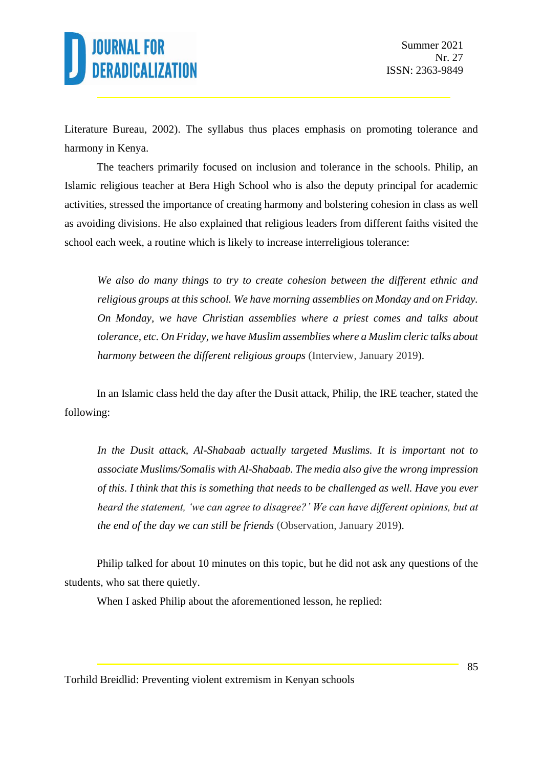Literature Bureau, 2002). The syllabus thus places emphasis on promoting tolerance and harmony in Kenya.

The teachers primarily focused on inclusion and tolerance in the schools. Philip, an Islamic religious teacher at Bera High School who is also the deputy principal for academic activities, stressed the importance of creating harmony and bolstering cohesion in class as well as avoiding divisions. He also explained that religious leaders from different faiths visited the school each week, a routine which is likely to increase interreligious tolerance:

*We also do many things to try to create cohesion between the different ethnic and religious groups at this school. We have morning assemblies on Monday and on Friday. On Monday, we have Christian assemblies where a priest comes and talks about tolerance, etc. On Friday, we have Muslim assemblies where a Muslim cleric talks about harmony between the different religious groups* (Interview, January 2019).

In an Islamic class held the day after the Dusit attack, Philip, the IRE teacher, stated the following:

In the Dusit attack, Al-Shabaab actually targeted Muslims. It is important not to *associate Muslims/Somalis with Al-Shabaab. The media also give the wrong impression of this. I think that this is something that needs to be challenged as well. Have you ever heard the statement, 'we can agree to disagree?' We can have different opinions, but at the end of the day we can still be friends* (Observation, January 2019).

Philip talked for about 10 minutes on this topic, but he did not ask any questions of the students, who sat there quietly.

When I asked Philip about the aforementioned lesson, he replied: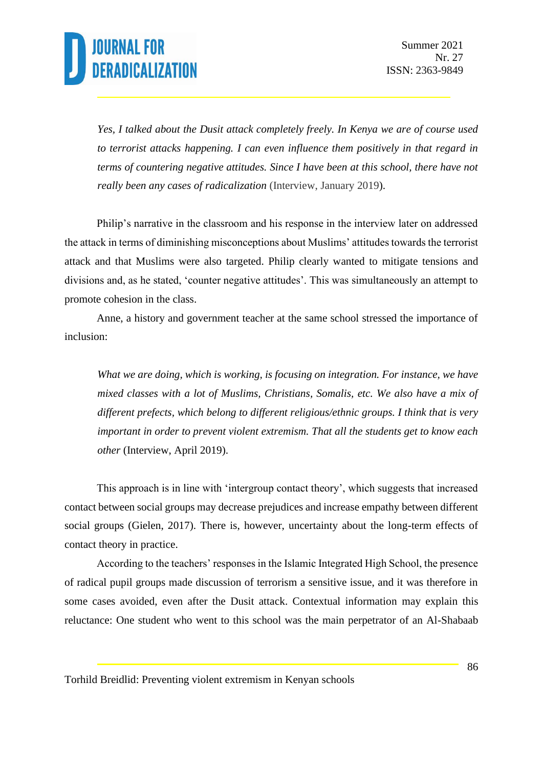*Yes, I talked about the Dusit attack completely freely. In Kenya we are of course used to terrorist attacks happening. I can even influence them positively in that regard in terms of countering negative attitudes. Since I have been at this school, there have not really been any cases of radicalization* (Interview, January 2019).

Philip's narrative in the classroom and his response in the interview later on addressed the attack in terms of diminishing misconceptions about Muslims' attitudes towards the terrorist attack and that Muslims were also targeted. Philip clearly wanted to mitigate tensions and divisions and, as he stated, 'counter negative attitudes'. This was simultaneously an attempt to promote cohesion in the class.

Anne, a history and government teacher at the same school stressed the importance of inclusion:

*What we are doing, which is working, is focusing on integration. For instance, we have mixed classes with a lot of Muslims, Christians, Somalis, etc. We also have a mix of different prefects, which belong to different religious/ethnic groups. I think that is very important in order to prevent violent extremism. That all the students get to know each other* (Interview, April 2019).

This approach is in line with 'intergroup contact theory', which suggests that increased contact between social groups may decrease prejudices and increase empathy between different social groups (Gielen, 2017). There is, however, uncertainty about the long-term effects of contact theory in practice.

According to the teachers' responses in the Islamic Integrated High School, the presence of radical pupil groups made discussion of terrorism a sensitive issue, and it was therefore in some cases avoided, even after the Dusit attack. Contextual information may explain this reluctance: One student who went to this school was the main perpetrator of an Al-Shabaab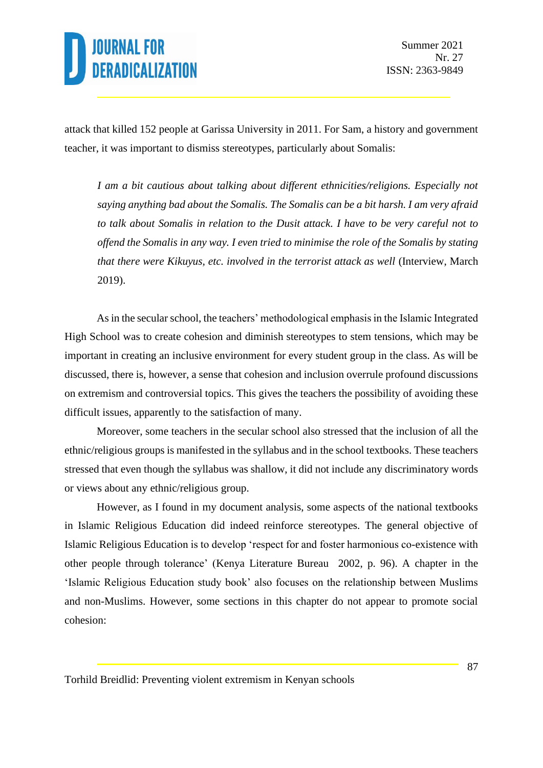attack that killed 152 people at Garissa University in 2011. For Sam, a history and government teacher, it was important to dismiss stereotypes, particularly about Somalis:

*I am a bit cautious about talking about different ethnicities/religions. Especially not saying anything bad about the Somalis. The Somalis can be a bit harsh. I am very afraid to talk about Somalis in relation to the Dusit attack. I have to be very careful not to offend the Somalis in any way. I even tried to minimise the role of the Somalis by stating that there were Kikuyus, etc. involved in the terrorist attack as well* (Interview, March 2019).

As in the secular school, the teachers' methodological emphasis in the Islamic Integrated High School was to create cohesion and diminish stereotypes to stem tensions, which may be important in creating an inclusive environment for every student group in the class. As will be discussed, there is, however, a sense that cohesion and inclusion overrule profound discussions on extremism and controversial topics. This gives the teachers the possibility of avoiding these difficult issues, apparently to the satisfaction of many.

Moreover, some teachers in the secular school also stressed that the inclusion of all the ethnic/religious groups is manifested in the syllabus and in the school textbooks. These teachers stressed that even though the syllabus was shallow, it did not include any discriminatory words or views about any ethnic/religious group.

However, as I found in my document analysis, some aspects of the national textbooks in Islamic Religious Education did indeed reinforce stereotypes. The general objective of Islamic Religious Education is to develop 'respect for and foster harmonious co-existence with other people through tolerance' (Kenya Literature Bureau 2002, p. 96). A chapter in the 'Islamic Religious Education study book' also focuses on the relationship between Muslims and non-Muslims. However, some sections in this chapter do not appear to promote social cohesion: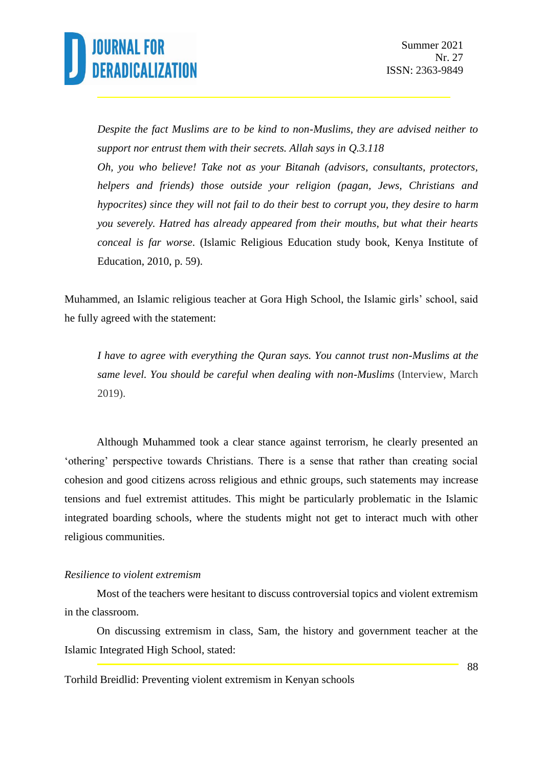

*Despite the fact Muslims are to be kind to non-Muslims, they are advised neither to support nor entrust them with their secrets. Allah says in Q.3.118 Oh, you who believe! Take not as your Bitanah (advisors, consultants, protectors, helpers and friends) those outside your religion (pagan, Jews, Christians and hypocrites) since they will not fail to do their best to corrupt you, they desire to harm you severely. Hatred has already appeared from their mouths, but what their hearts conceal is far worse*. (Islamic Religious Education study book, Kenya Institute of Education, 2010, p. 59).

Muhammed, an Islamic religious teacher at Gora High School, the Islamic girls' school, said he fully agreed with the statement:

*I have to agree with everything the Quran says. You cannot trust non-Muslims at the same level. You should be careful when dealing with non-Muslims* (Interview, March 2019).

Although Muhammed took a clear stance against terrorism, he clearly presented an 'othering' perspective towards Christians. There is a sense that rather than creating social cohesion and good citizens across religious and ethnic groups, such statements may increase tensions and fuel extremist attitudes. This might be particularly problematic in the Islamic integrated boarding schools, where the students might not get to interact much with other religious communities.

#### *Resilience to violent extremism*

Most of the teachers were hesitant to discuss controversial topics and violent extremism in the classroom.

On discussing extremism in class, Sam, the history and government teacher at the Islamic Integrated High School, stated: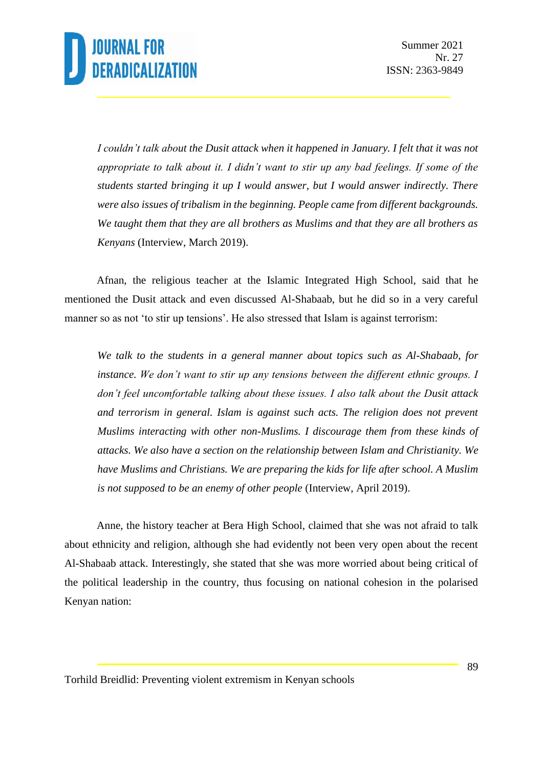*I couldn't talk about the Dusit attack when it happened in January. I felt that it was not appropriate to talk about it. I didn't want to stir up any bad feelings. If some of the students started bringing it up I would answer, but I would answer indirectly. There were also issues of tribalism in the beginning. People came from different backgrounds. We taught them that they are all brothers as Muslims and that they are all brothers as Kenyans* (Interview, March 2019).

Afnan, the religious teacher at the Islamic Integrated High School, said that he mentioned the Dusit attack and even discussed Al-Shabaab, but he did so in a very careful manner so as not 'to stir up tensions'. He also stressed that Islam is against terrorism:

*We talk to the students in a general manner about topics such as Al-Shabaab, for instance. We don't want to stir up any tensions between the different ethnic groups. I don't feel uncomfortable talking about these issues. I also talk about the Dusit attack and terrorism in general. Islam is against such acts. The religion does not prevent Muslims interacting with other non-Muslims. I discourage them from these kinds of attacks. We also have a section on the relationship between Islam and Christianity. We have Muslims and Christians. We are preparing the kids for life after school. A Muslim is not supposed to be an enemy of other people* (Interview, April 2019).

Anne, the history teacher at Bera High School, claimed that she was not afraid to talk about ethnicity and religion, although she had evidently not been very open about the recent Al-Shabaab attack. Interestingly, she stated that she was more worried about being critical of the political leadership in the country, thus focusing on national cohesion in the polarised Kenyan nation: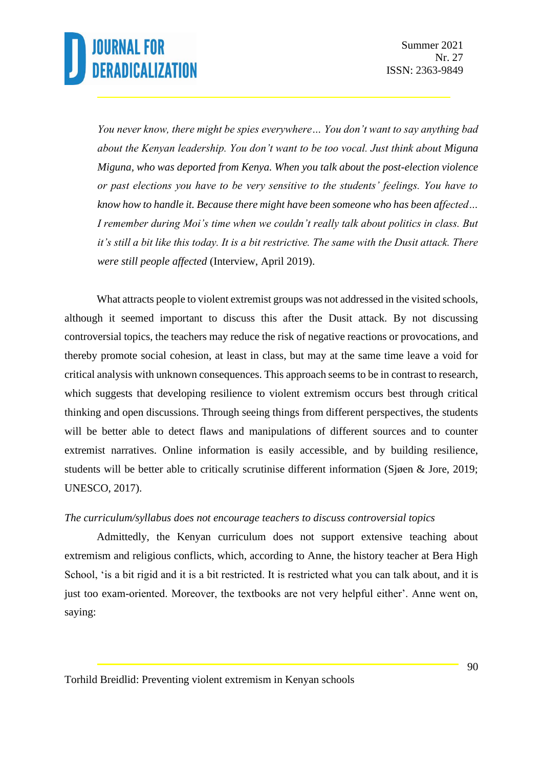*You never know, there might be spies everywhere… You don't want to say anything bad about the Kenyan leadership. You don't want to be too vocal. Just think about Miguna Miguna, who was deported from Kenya. When you talk about the post-election violence or past elections you have to be very sensitive to the students' feelings. You have to know how to handle it. Because there might have been someone who has been affected… I remember during Moi's time when we couldn't really talk about politics in class. But it's still a bit like this today. It is a bit restrictive. The same with the Dusit attack. There were still people affected* (Interview, April 2019).

What attracts people to violent extremist groups was not addressed in the visited schools, although it seemed important to discuss this after the Dusit attack. By not discussing controversial topics, the teachers may reduce the risk of negative reactions or provocations, and thereby promote social cohesion, at least in class, but may at the same time leave a void for critical analysis with unknown consequences. This approach seems to be in contrast to research, which suggests that developing resilience to violent extremism occurs best through critical thinking and open discussions. Through seeing things from different perspectives, the students will be better able to detect flaws and manipulations of different sources and to counter extremist narratives. Online information is easily accessible, and by building resilience, students will be better able to critically scrutinise different information (Sjøen & Jore, 2019; UNESCO, 2017).

#### *The curriculum/syllabus does not encourage teachers to discuss controversial topics*

Admittedly, the Kenyan curriculum does not support extensive teaching about extremism and religious conflicts, which, according to Anne, the history teacher at Bera High School, 'is a bit rigid and it is a bit restricted. It is restricted what you can talk about, and it is just too exam-oriented. Moreover, the textbooks are not very helpful either'. Anne went on, saying: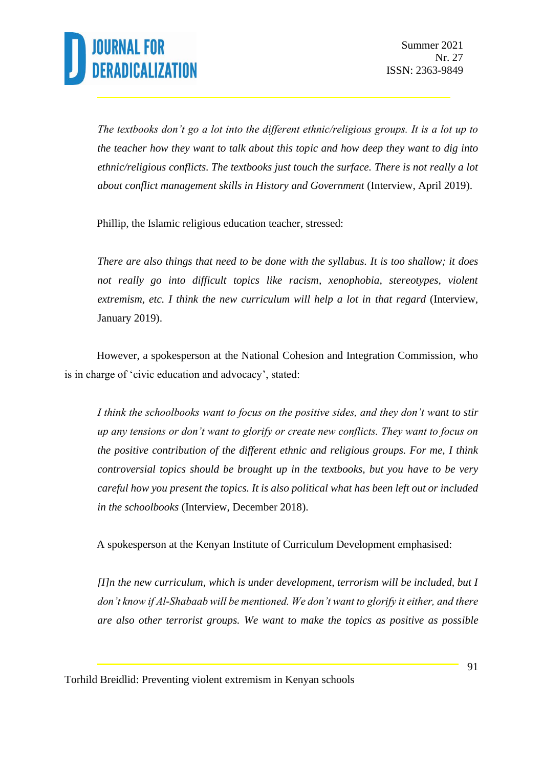*The textbooks don't go a lot into the different ethnic/religious groups. It is a lot up to the teacher how they want to talk about this topic and how deep they want to dig into ethnic/religious conflicts. The textbooks just touch the surface. There is not really a lot about conflict management skills in History and Government* (Interview, April 2019).

Phillip, the Islamic religious education teacher, stressed:

*There are also things that need to be done with the syllabus. It is too shallow; it does not really go into difficult topics like racism, xenophobia, stereotypes, violent extremism, etc. I think the new curriculum will help a lot in that regard* (Interview, January 2019).

However, a spokesperson at the National Cohesion and Integration Commission, who is in charge of 'civic education and advocacy', stated:

*I think the schoolbooks want to focus on the positive sides, and they don't want to stir up any tensions or don't want to glorify or create new conflicts. They want to focus on the positive contribution of the different ethnic and religious groups. For me, I think controversial topics should be brought up in the textbooks, but you have to be very careful how you present the topics. It is also political what has been left out or included in the schoolbooks* (Interview, December 2018).

A spokesperson at the Kenyan Institute of Curriculum Development emphasised:

*[I]n the new curriculum, which is under development, terrorism will be included, but I don't know if Al-Shabaab will be mentioned. We don't want to glorify it either, and there are also other terrorist groups. We want to make the topics as positive as possible*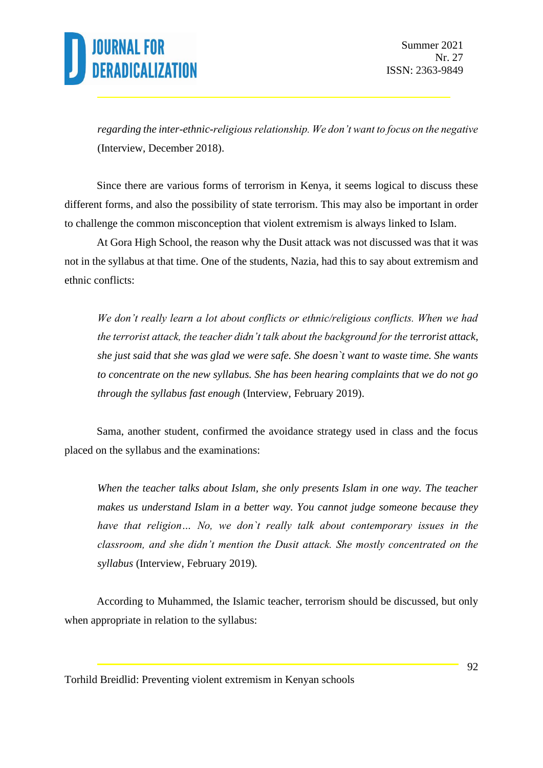*regarding the inter-ethnic-religious relationship. We don't want to focus on the negative* (Interview, December 2018).

Since there are various forms of terrorism in Kenya, it seems logical to discuss these different forms, and also the possibility of state terrorism. This may also be important in order to challenge the common misconception that violent extremism is always linked to Islam.

At Gora High School, the reason why the Dusit attack was not discussed was that it was not in the syllabus at that time. One of the students, Nazia, had this to say about extremism and ethnic conflicts:

*We don't really learn a lot about conflicts or ethnic/religious conflicts. When we had the terrorist attack, the teacher didn't talk about the background for the terrorist attack, she just said that she was glad we were safe. She doesn`t want to waste time. She wants to concentrate on the new syllabus. She has been hearing complaints that we do not go through the syllabus fast enough* (Interview, February 2019).

Sama, another student, confirmed the avoidance strategy used in class and the focus placed on the syllabus and the examinations:

*When the teacher talks about Islam, she only presents Islam in one way. The teacher makes us understand Islam in a better way. You cannot judge someone because they have that religion… No, we don`t really talk about contemporary issues in the classroom, and she didn't mention the Dusit attack. She mostly concentrated on the syllabus* (Interview, February 2019)*.*

According to Muhammed, the Islamic teacher, terrorism should be discussed, but only when appropriate in relation to the syllabus: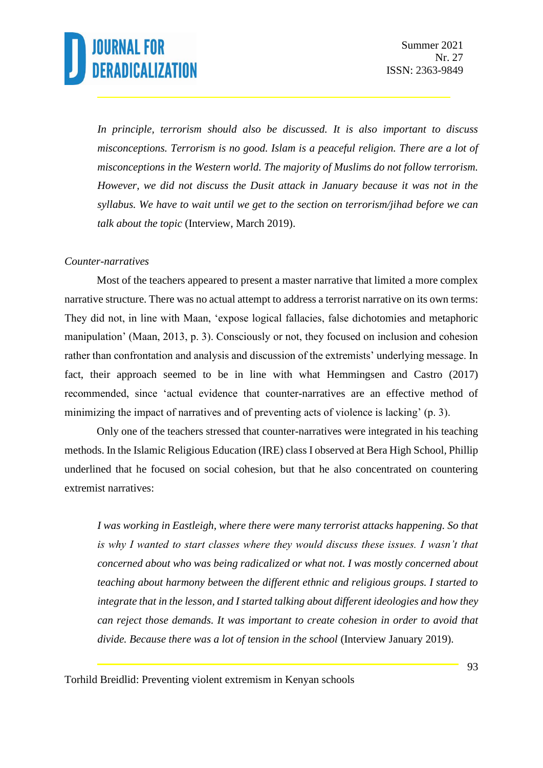*In principle, terrorism should also be discussed. It is also important to discuss misconceptions. Terrorism is no good. Islam is a peaceful religion. There are a lot of misconceptions in the Western world. The majority of Muslims do not follow terrorism. However, we did not discuss the Dusit attack in January because it was not in the syllabus. We have to wait until we get to the section on terrorism/jihad before we can talk about the topic* (Interview, March 2019).

#### *Counter-narratives*

Most of the teachers appeared to present a master narrative that limited a more complex narrative structure. There was no actual attempt to address a terrorist narrative on its own terms: They did not, in line with Maan, 'expose logical fallacies, false dichotomies and metaphoric manipulation' (Maan, 2013, p. 3). Consciously or not, they focused on inclusion and cohesion rather than confrontation and analysis and discussion of the extremists' underlying message. In fact, their approach seemed to be in line with what Hemmingsen and Castro (2017) recommended, since 'actual evidence that counter-narratives are an effective method of minimizing the impact of narratives and of preventing acts of violence is lacking' (p. 3).

Only one of the teachers stressed that counter-narratives were integrated in his teaching methods. In the Islamic Religious Education (IRE) class I observed at Bera High School, Phillip underlined that he focused on social cohesion, but that he also concentrated on countering extremist narratives:

*I was working in Eastleigh, where there were many terrorist attacks happening. So that is why I wanted to start classes where they would discuss these issues. I wasn't that concerned about who was being radicalized or what not. I was mostly concerned about teaching about harmony between the different ethnic and religious groups. I started to integrate that in the lesson, and I started talking about different ideologies and how they can reject those demands. It was important to create cohesion in order to avoid that divide. Because there was a lot of tension in the school* (Interview January 2019).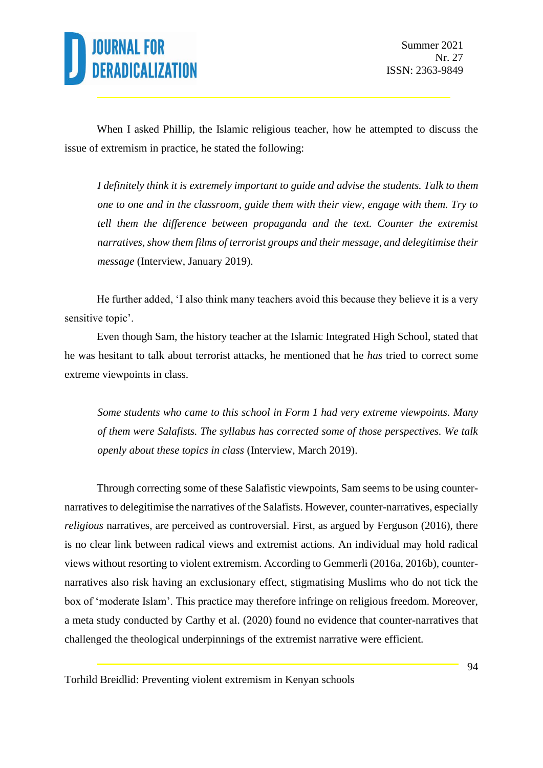

When I asked Phillip, the Islamic religious teacher, how he attempted to discuss the issue of extremism in practice, he stated the following:

*I definitely think it is extremely important to guide and advise the students. Talk to them one to one and in the classroom, guide them with their view, engage with them. Try to tell them the difference between propaganda and the text. Counter the extremist narratives, show them films of terrorist groups and their message, and delegitimise their message* (Interview, January 2019).

He further added, 'I also think many teachers avoid this because they believe it is a very sensitive topic'.

Even though Sam, the history teacher at the Islamic Integrated High School, stated that he was hesitant to talk about terrorist attacks, he mentioned that he *has* tried to correct some extreme viewpoints in class.

*Some students who came to this school in Form 1 had very extreme viewpoints. Many of them were Salafists. The syllabus has corrected some of those perspectives. We talk openly about these topics in class* (Interview, March 2019).

Through correcting some of these Salafistic viewpoints, Sam seems to be using counternarratives to delegitimise the narratives of the Salafists. However, counter-narratives, especially *religious* narratives, are perceived as controversial. First, as argued by Ferguson (2016), there is no clear link between radical views and extremist actions. An individual may hold radical views without resorting to violent extremism. According to Gemmerli (2016a, 2016b), counternarratives also risk having an exclusionary effect, stigmatising Muslims who do not tick the box of 'moderate Islam'. This practice may therefore infringe on religious freedom. Moreover, a meta study conducted by Carthy et al. (2020) found no evidence that counter-narratives that challenged the theological underpinnings of the extremist narrative were efficient.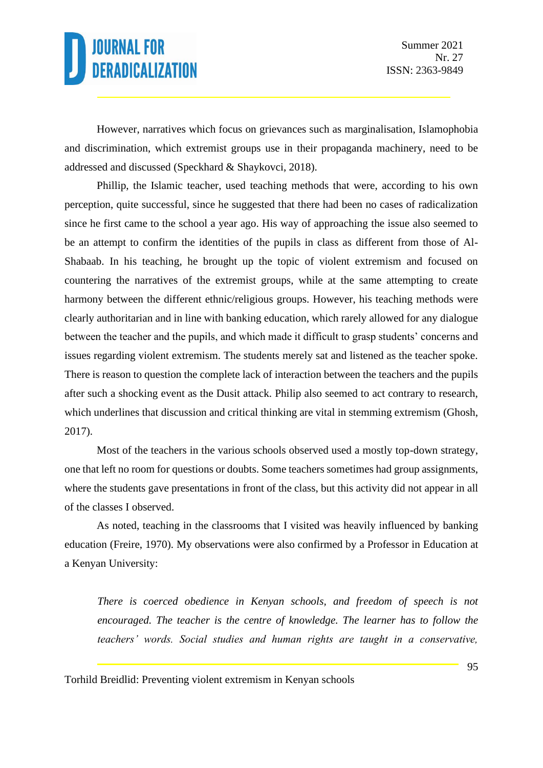However, narratives which focus on grievances such as marginalisation, Islamophobia and discrimination, which extremist groups use in their propaganda machinery, need to be addressed and discussed (Speckhard & Shaykovci, 2018).

Phillip, the Islamic teacher, used teaching methods that were, according to his own perception, quite successful, since he suggested that there had been no cases of radicalization since he first came to the school a year ago. His way of approaching the issue also seemed to be an attempt to confirm the identities of the pupils in class as different from those of Al-Shabaab. In his teaching, he brought up the topic of violent extremism and focused on countering the narratives of the extremist groups, while at the same attempting to create harmony between the different ethnic/religious groups. However, his teaching methods were clearly authoritarian and in line with banking education, which rarely allowed for any dialogue between the teacher and the pupils, and which made it difficult to grasp students' concerns and issues regarding violent extremism. The students merely sat and listened as the teacher spoke. There is reason to question the complete lack of interaction between the teachers and the pupils after such a shocking event as the Dusit attack. Philip also seemed to act contrary to research, which underlines that discussion and critical thinking are vital in stemming extremism (Ghosh, 2017).

Most of the teachers in the various schools observed used a mostly top-down strategy, one that left no room for questions or doubts. Some teachers sometimes had group assignments, where the students gave presentations in front of the class, but this activity did not appear in all of the classes I observed.

As noted, teaching in the classrooms that I visited was heavily influenced by banking education (Freire, 1970). My observations were also confirmed by a Professor in Education at a Kenyan University:

*There is coerced obedience in Kenyan schools, and freedom of speech is not encouraged. The teacher is the centre of knowledge. The learner has to follow the teachers' words. Social studies and human rights are taught in a conservative,*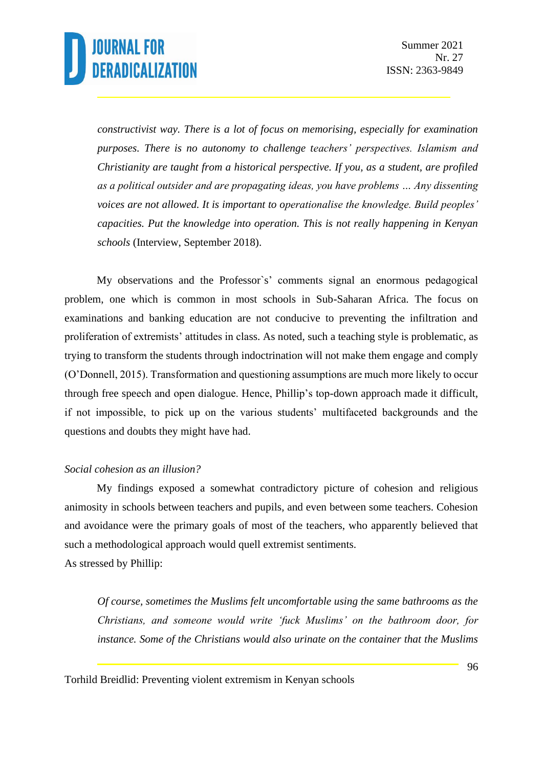*constructivist way. There is a lot of focus on memorising, especially for examination purposes. There is no autonomy to challenge teachers' perspectives. Islamism and Christianity are taught from a historical perspective. If you, as a student, are profiled as a political outsider and are propagating ideas, you have problems … Any dissenting voices are not allowed. It is important to operationalise the knowledge. Build peoples' capacities. Put the knowledge into operation. This is not really happening in Kenyan schools* (Interview, September 2018).

My observations and the Professor`s' comments signal an enormous pedagogical problem, one which is common in most schools in Sub-Saharan Africa. The focus on examinations and banking education are not conducive to preventing the infiltration and proliferation of extremists' attitudes in class. As noted, such a teaching style is problematic, as trying to transform the students through indoctrination will not make them engage and comply (O'Donnell, 2015). Transformation and questioning assumptions are much more likely to occur through free speech and open dialogue. Hence, Phillip's top-down approach made it difficult, if not impossible, to pick up on the various students' multifaceted backgrounds and the questions and doubts they might have had.

#### *Social cohesion as an illusion?*

My findings exposed a somewhat contradictory picture of cohesion and religious animosity in schools between teachers and pupils, and even between some teachers. Cohesion and avoidance were the primary goals of most of the teachers, who apparently believed that such a methodological approach would quell extremist sentiments. As stressed by Phillip:

*Of course, sometimes the Muslims felt uncomfortable using the same bathrooms as the Christians, and someone would write 'fuck Muslims' on the bathroom door, for instance. Some of the Christians would also urinate on the container that the Muslims*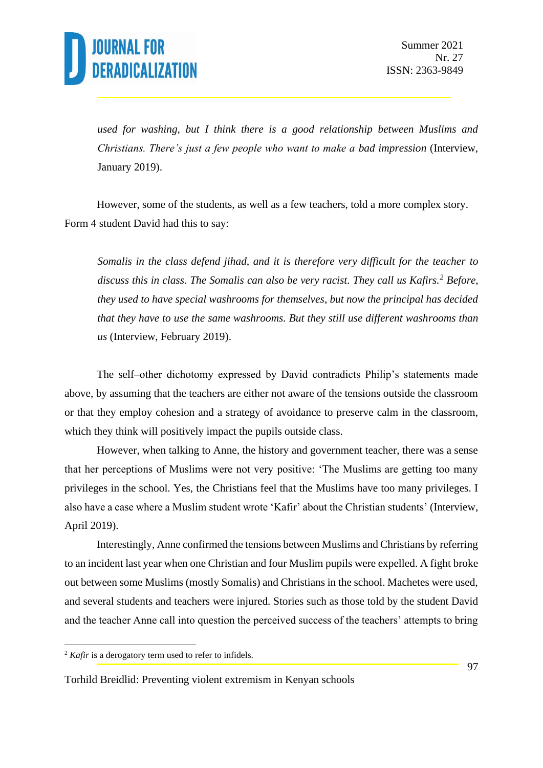

*used for washing, but I think there is a good relationship between Muslims and Christians. There's just a few people who want to make a bad impression* (Interview, January 2019).

However, some of the students, as well as a few teachers, told a more complex story. Form 4 student David had this to say:

*Somalis in the class defend jihad, and it is therefore very difficult for the teacher to discuss this in class. The Somalis can also be very racist. They call us Kafirs.<sup>2</sup> Before, they used to have special washrooms for themselves, but now the principal has decided that they have to use the same washrooms. But they still use different washrooms than us* (Interview, February 2019).

The self–other dichotomy expressed by David contradicts Philip's statements made above, by assuming that the teachers are either not aware of the tensions outside the classroom or that they employ cohesion and a strategy of avoidance to preserve calm in the classroom, which they think will positively impact the pupils outside class.

However, when talking to Anne, the history and government teacher, there was a sense that her perceptions of Muslims were not very positive: 'The Muslims are getting too many privileges in the school. Yes, the Christians feel that the Muslims have too many privileges. I also have a case where a Muslim student wrote 'Kafir' about the Christian students' (Interview, April 2019).

Interestingly, Anne confirmed the tensions between Muslims and Christians by referring to an incident last year when one Christian and four Muslim pupils were expelled. A fight broke out between some Muslims (mostly Somalis) and Christians in the school. Machetes were used, and several students and teachers were injured. Stories such as those told by the student David and the teacher Anne call into question the perceived success of the teachers' attempts to bring

<sup>&</sup>lt;sup>2</sup> *Kafir* is a derogatory term used to refer to infidels.

Torhild Breidlid: Preventing violent extremism in Kenyan schools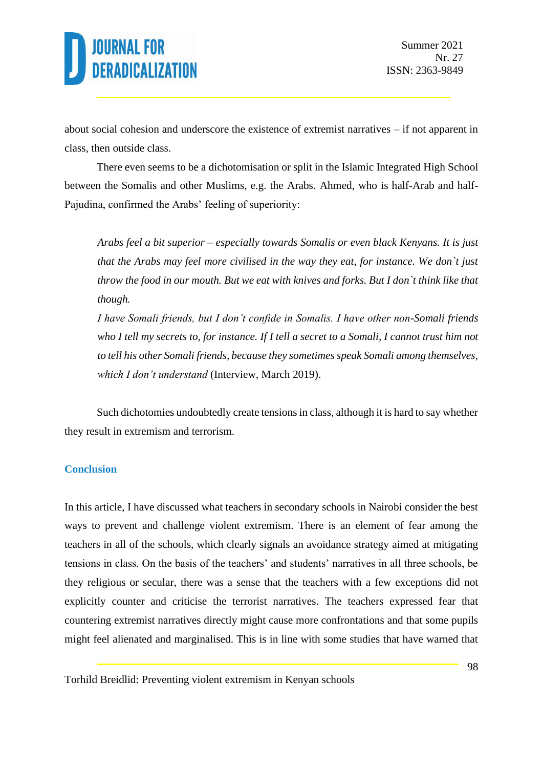about social cohesion and underscore the existence of extremist narratives – if not apparent in class, then outside class.

There even seems to be a dichotomisation or split in the Islamic Integrated High School between the Somalis and other Muslims, e.g. the Arabs. Ahmed, who is half-Arab and half-Pajudina, confirmed the Arabs' feeling of superiority:

*Arabs feel a bit superior – especially towards Somalis or even black Kenyans. It is just that the Arabs may feel more civilised in the way they eat, for instance. We don`t just throw the food in our mouth. But we eat with knives and forks. But I don`t think like that though.*

*I have Somali friends, but I don't confide in Somalis. I have other non-Somali friends who I tell my secrets to, for instance. If I tell a secret to a Somali, I cannot trust him not to tell his other Somali friends, because they sometimes speak Somali among themselves, which I don't understand* (Interview, March 2019).

Such dichotomies undoubtedly create tensions in class, although it is hard to say whether they result in extremism and terrorism.

#### **Conclusion**

In this article, I have discussed what teachers in secondary schools in Nairobi consider the best ways to prevent and challenge violent extremism. There is an element of fear among the teachers in all of the schools, which clearly signals an avoidance strategy aimed at mitigating tensions in class. On the basis of the teachers' and students' narratives in all three schools, be they religious or secular, there was a sense that the teachers with a few exceptions did not explicitly counter and criticise the terrorist narratives. The teachers expressed fear that countering extremist narratives directly might cause more confrontations and that some pupils might feel alienated and marginalised. This is in line with some studies that have warned that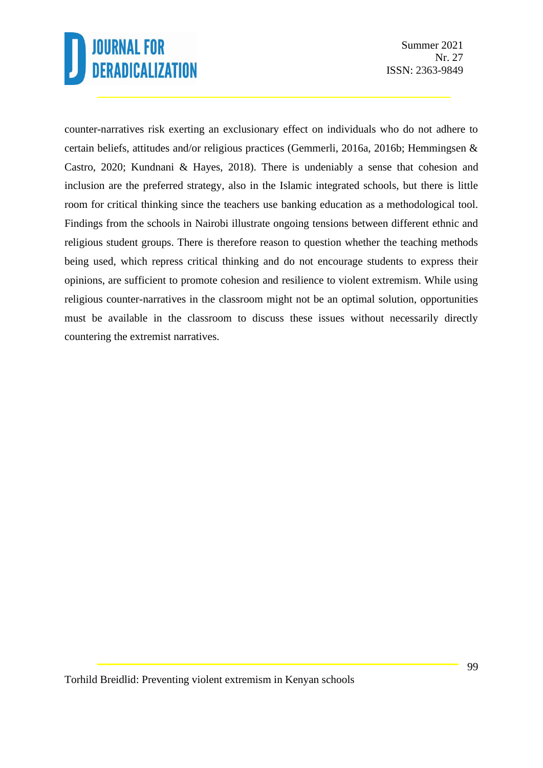Summer 2021 Nr. 27 ISSN: 2363-9849

counter-narratives risk exerting an exclusionary effect on individuals who do not adhere to certain beliefs, attitudes and/or religious practices (Gemmerli, 2016a, 2016b; Hemmingsen & Castro, 2020; Kundnani & Hayes, 2018). There is undeniably a sense that cohesion and inclusion are the preferred strategy, also in the Islamic integrated schools, but there is little room for critical thinking since the teachers use banking education as a methodological tool. Findings from the schools in Nairobi illustrate ongoing tensions between different ethnic and religious student groups. There is therefore reason to question whether the teaching methods being used, which repress critical thinking and do not encourage students to express their opinions, are sufficient to promote cohesion and resilience to violent extremism. While using religious counter-narratives in the classroom might not be an optimal solution, opportunities must be available in the classroom to discuss these issues without necessarily directly countering the extremist narratives.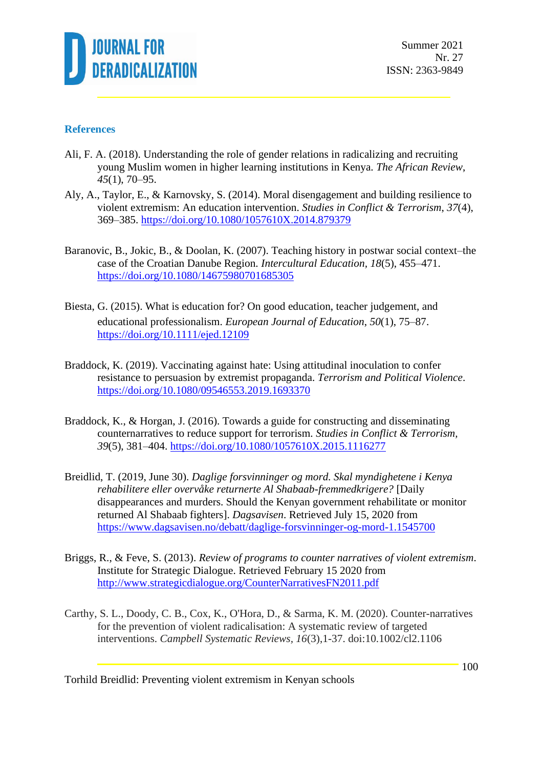

#### **References**

- Ali, F. A. (2018). Understanding the role of gender relations in radicalizing and recruiting young Muslim women in higher learning institutions in Kenya. *The African Review*, *45*(1), 70–95.
- Aly, A., Taylor, E., & Karnovsky, S. (2014). Moral disengagement and building resilience to violent extremism: An education intervention. *Studies in Conflict & Terrorism*, *37*(4), 369–385.<https://doi.org/10.1080/1057610X.2014.879379>
- Baranovic, B., Jokic, B., & Doolan, K. (2007). Teaching history in postwar social context–the case of the Croatian Danube Region*. Intercultural Education, 18*(5), 455–471. <https://doi.org/10.1080/14675980701685305>
- Biesta, G. (2015). What is education for? On good education, teacher judgement, and educational professionalism. *European Journal of Education*, *50*(1), 75–87. <https://doi.org/10.1111/ejed.12109>
- Braddock, K. (2019). Vaccinating against hate: Using attitudinal inoculation to confer resistance to persuasion by extremist propaganda. *Terrorism and Political Violence*. <https://doi.org/10.1080/09546553.2019.1693370>
- Braddock, K., & Horgan, J. (2016). Towards a guide for constructing and disseminating counternarratives to reduce support for terrorism. *Studies in Conflict & Terrorism, 39*(5), 381–404.<https://doi.org/10.1080/1057610X.2015.1116277>
- Breidlid, T. (2019, June 30). *Daglige forsvinninger og mord. Skal myndighetene i Kenya rehabilitere eller overvåke returnerte Al Shabaab-fremmedkrigere?* [Daily disappearances and murders. Should the Kenyan government rehabilitate or monitor returned Al Shabaab fighters]. *Dagsavisen*. Retrieved July 15, 2020 from <https://www.dagsavisen.no/debatt/daglige-forsvinninger-og-mord-1.1545700>
- Briggs, R., & Feve, S. (2013). *Review of programs to counter narratives of violent extremism*. Institute for Strategic Dialogue. Retrieved February 15 2020 from <http://www.strategicdialogue.org/CounterNarrativesFN2011.pdf>
- Carthy, S. L., Doody, C. B., Cox, K., O'Hora, D., & Sarma, K. M. (2020). Counter-narratives for the prevention of violent radicalisation: A systematic review of targeted interventions. *Campbell Systematic Reviews, 16*(3),1-37. doi:10.1002/cl2.1106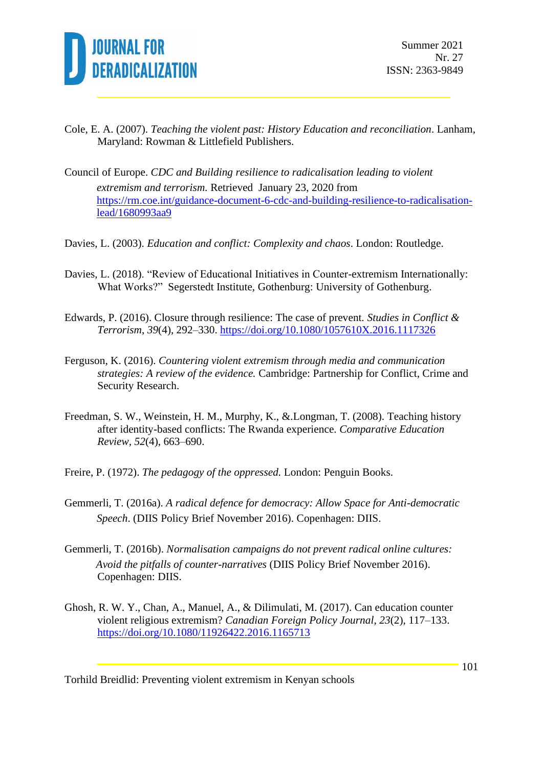

- Cole, E. A. (2007). *Teaching the violent past: History Education and reconciliation*. Lanham, Maryland: Rowman & Littlefield Publishers.
- Council of Europe. *CDC and Building resilience to radicalisation leading to violent extremism and terrorism.* Retrieved January 23, 2020 from [https://rm.coe.int/guidance-document-6-cdc-and-building-resilience-to-radicalisation](https://rm.coe.int/guidance-document-6-cdc-and-building-resilience-to-radicalisation-lead/1680993aa9)[lead/1680993aa9](https://rm.coe.int/guidance-document-6-cdc-and-building-resilience-to-radicalisation-lead/1680993aa9)
- Davies, L. (2003). *Education and conflict: Complexity and chaos*. London: Routledge.
- Davies, L. (2018). "Review of Educational Initiatives in Counter-extremism Internationally: What Works?" Segerstedt Institute, Gothenburg: University of Gothenburg.
- Edwards, P. (2016). Closure through resilience: The case of prevent*. Studies in Conflict & Terrorism*, *39*(4), 292–330.<https://doi.org/10.1080/1057610X.2016.1117326>
- Ferguson, K. (2016). *Countering violent extremism through media and communication strategies: A review of the evidence.* Cambridge: Partnership for Conflict, Crime and Security Research.
- Freedman, S. W., Weinstein, H. M., Murphy, K., &.Longman, T. (2008). Teaching history after identity-based conflicts: The Rwanda experience. *Comparative Education Review, 52*(4), 663–690.
- Freire, P. (1972). *The pedagogy of the oppressed.* London: Penguin Books.
- Gemmerli, T. (2016a). *A radical defence for democracy: Allow Space for Anti-democratic Speech*. (DIIS Policy Brief November 2016). Copenhagen: DIIS.
- Gemmerli, T. (2016b). *Normalisation campaigns do not prevent radical online cultures: Avoid the pitfalls of counter-narratives* (DIIS Policy Brief November 2016). Copenhagen: DIIS.
- Ghosh, R. W. Y., Chan, A., Manuel, A., & Dilimulati, M. (2017). Can education counter violent religious extremism? *Canadian Foreign Policy Journal*, *23*(2), 117–133. <https://doi.org/10.1080/11926422.2016.1165713>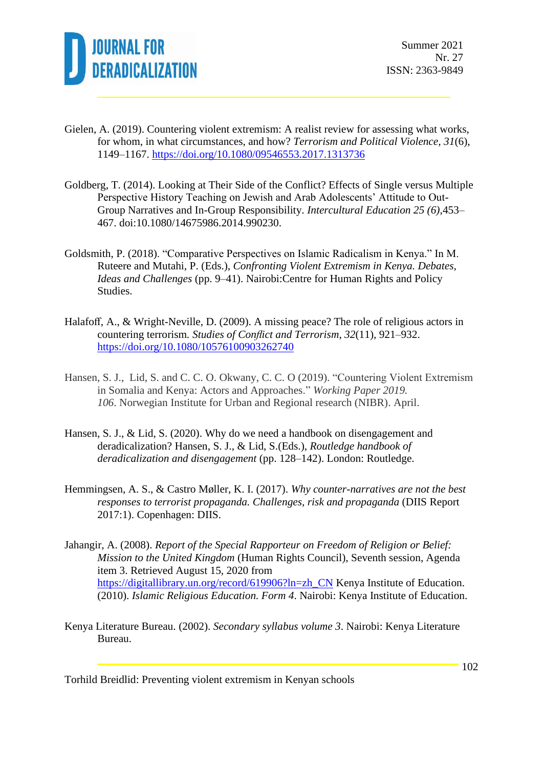

- Gielen, A. (2019). Countering violent extremism: A realist review for assessing what works, for whom, in what circumstances, and how? *Terrorism and Political Violence*, *31*(6), 1149–1167.<https://doi.org/10.1080/09546553.2017.1313736>
- Goldberg, T. (2014). Looking at Their Side of the Conflict? Effects of Single versus Multiple Perspective History Teaching on Jewish and Arab Adolescents' Attitude to Out-Group Narratives and In-Group Responsibility. *Intercultural Education 25 (6)*,453– 467. doi:10.1080/14675986.2014.990230.
- Goldsmith, P. (2018). "Comparative Perspectives on Islamic Radicalism in Kenya." In M. Ruteere and Mutahi, P. (Eds.), *Confronting Violent Extremism in Kenya. Debates, Ideas and Challenges* (pp. 9–41). Nairobi:Centre for Human Rights and Policy Studies.
- Halafoff, A., & Wright-Neville, D. (2009). A missing peace? The role of religious actors in countering terrorism*. Studies of Conflict and Terrorism*, *32*(11), 921–932. <https://doi.org/10.1080/10576100903262740>
- Hansen, S. J., Lid, S. and C. C. O. Okwany, C. C. O (2019). "Countering Violent Extremism in Somalia and Kenya: Actors and Approaches." *Working Paper 2019. 106*. Norwegian Institute for Urban and Regional research (NIBR). April.
- Hansen, S. J., & Lid, S. (2020). Why do we need a handbook on disengagement and deradicalization? Hansen, S. J., & Lid, S.(Eds.), *Routledge handbook of deradicalization and disengagement* (pp. 128–142). London: Routledge.
- Hemmingsen, A. S., & Castro Møller, K. I. (2017). *Why counter-narratives are not the best responses to terrorist propaganda. Challenges, risk and propaganda* (DIIS Report 2017:1). Copenhagen: DIIS.
- Jahangir, A. (2008). *Report of the Special Rapporteur on Freedom of Religion or Belief: Mission to the United Kingdom* (Human Rights Council), Seventh session, Agenda item 3. Retrieved August 15, 2020 from [https://digitallibrary.un.org/record/619906?ln=zh\\_CN](https://digitallibrary.un.org/record/619906?ln=zh_CN) Kenya Institute of Education. (2010). *Islamic Religious Education. Form 4*. Nairobi: Kenya Institute of Education.
- Kenya Literature Bureau. (2002). *Secondary syllabus volume 3*. Nairobi: Kenya Literature Bureau.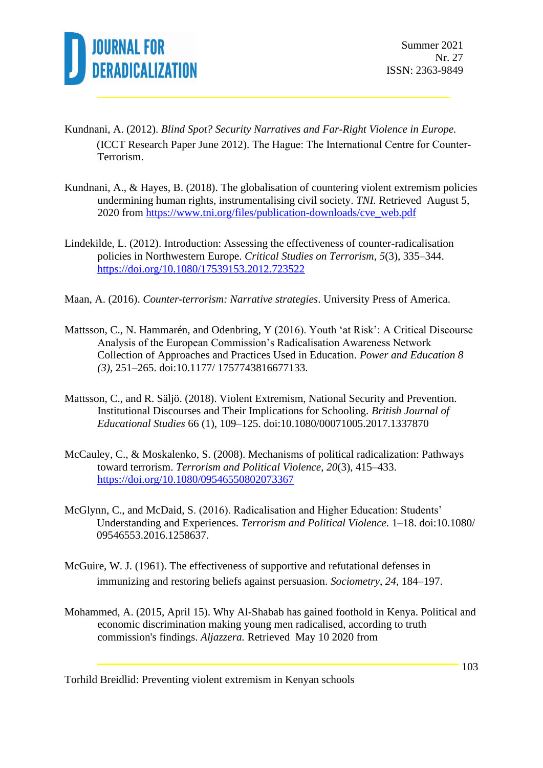

- Kundnani, A. (2012). *Blind Spot? Security Narratives and Far-Right Violence in Europe.* (ICCT Research Paper June 2012). The Hague: The International Centre for Counter‐ Terrorism.
- Kundnani, A., & Hayes, B. (2018). The globalisation of countering violent extremism policies undermining human rights, instrumentalising civil society. *TNI.* Retrieved August 5, 2020 from [https://www.tni.org/files/publication-downloads/cve\\_web.pdf](https://www.tni.org/files/publication-downloads/cve_web.pdf)
- Lindekilde, L. (2012). Introduction: Assessing the effectiveness of counter-radicalisation policies in Northwestern Europe. *Critical Studies on Terrorism, 5*(3), 335–344. <https://doi.org/10.1080/17539153.2012.723522>
- Maan, A. (2016). *Counter-terrorism: Narrative strategies*. University Press of America.
- Mattsson, C., N. Hammarén, and Odenbring, Y (2016). Youth 'at Risk': A Critical Discourse Analysis of the European Commission's Radicalisation Awareness Network Collection of Approaches and Practices Used in Education. *Power and Education 8 (3)*, 251–265. doi:10.1177/ 1757743816677133.
- Mattsson, C., and R. Säljö. (2018). Violent Extremism, National Security and Prevention. Institutional Discourses and Their Implications for Schooling. *British Journal of Educational Studies* 66 (1), 109–125. doi:10.1080/00071005.2017.1337870
- McCauley, C., & Moskalenko, S. (2008). Mechanisms of political radicalization: Pathways toward terrorism. *Terrorism and Political Violence*, *20*(3), 415–433. <https://doi.org/10.1080/09546550802073367>
- McGlynn, C., and McDaid, S. (2016). Radicalisation and Higher Education: Students' Understanding and Experiences. *Terrorism and Political Violence.* 1–18. doi:10.1080/ 09546553.2016.1258637.
- McGuire, W. J. (1961). The effectiveness of supportive and refutational defenses in immunizing and restoring beliefs against persuasion. *Sociometry*, *24*, 184–197.
- Mohammed, A. (2015, April 15). Why Al-Shabab has gained foothold in Kenya. Political and economic discrimination making young men radicalised, according to truth commission's findings. *Aljazzera.* Retrieved May 10 2020 from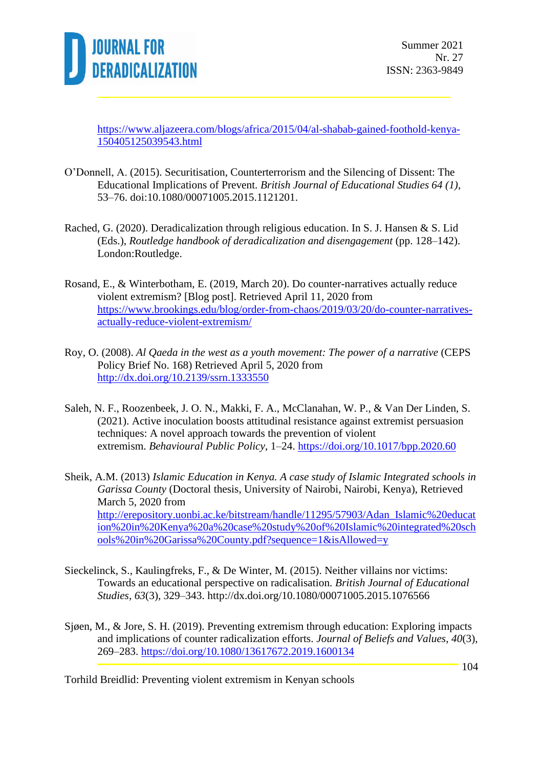

[https://www.aljazeera.com/blogs/africa/2015/04/al-shabab-gained-foothold-kenya-](https://www.aljazeera.com/blogs/africa/2015/04/al-shabab-gained-foothold-kenya-150405125039543.html)[150405125039543.html](https://www.aljazeera.com/blogs/africa/2015/04/al-shabab-gained-foothold-kenya-150405125039543.html)

- O'Donnell, A. (2015). Securitisation, Counterterrorism and the Silencing of Dissent: The Educational Implications of Prevent. *British Journal of Educational Studies 64 (1)*, 53–76. doi:10.1080/00071005.2015.1121201.
- Rached, G. (2020). Deradicalization through religious education. In S. J. Hansen & S. Lid (Eds.), *Routledge handbook of deradicalization and disengagement* (pp. 128–142). London:Routledge.
- Rosand, E., & Winterbotham, E. (2019, March 20). Do counter-narratives actually reduce violent extremism? [Blog post]. Retrieved April 11, 2020 from [https://www.brookings.edu/blog/order-from-chaos/2019/03/20/do-counter-narratives](https://www.brookings.edu/blog/order-from-chaos/2019/03/20/do-counter-narratives-actually-reduce-violent-extremism/)[actually-reduce-violent-extremism/](https://www.brookings.edu/blog/order-from-chaos/2019/03/20/do-counter-narratives-actually-reduce-violent-extremism/)
- Roy, O. (2008). *Al Qaeda in the west as a youth movement: The power of a narrative* (CEPS Policy Brief No. 168) Retrieved April 5, 2020 from [http://dx.doi.org/10.2139/ssrn.1333550](https://dx.doi.org/10.2139/ssrn.1333550)
- Saleh, N. F., Roozenbeek, J. O. N., Makki, F. A., McClanahan, W. P., & Van Der Linden, S. (2021). Active inoculation boosts attitudinal resistance against extremist persuasion techniques: A novel approach towards the prevention of violent extremism. *Behavioural Public Policy*, 1–24.<https://doi.org/10.1017/bpp.2020.60>
- Sheik, A.M. (2013) *Islamic Education in Kenya. A case study of Islamic Integrated schools in Garissa County* (Doctoral thesis, University of Nairobi, Nairobi, Kenya), Retrieved March 5, 2020 from [http://erepository.uonbi.ac.ke/bitstream/handle/11295/57903/Adan\\_Islamic%20educat](http://erepository.uonbi.ac.ke/bitstream/handle/11295/57903/Adan_Islamic%20education%20in%20Kenya%20a%20case%20study%20of%20Islamic%20integrated%20schools%20in%20Garissa%20County.pdf?sequence=1&isAllowed=y) [ion%20in%20Kenya%20a%20case%20study%20of%20Islamic%20integrated%20sch](http://erepository.uonbi.ac.ke/bitstream/handle/11295/57903/Adan_Islamic%20education%20in%20Kenya%20a%20case%20study%20of%20Islamic%20integrated%20schools%20in%20Garissa%20County.pdf?sequence=1&isAllowed=y) [ools%20in%20Garissa%20County.pdf?sequence=1&isAllowed=y](http://erepository.uonbi.ac.ke/bitstream/handle/11295/57903/Adan_Islamic%20education%20in%20Kenya%20a%20case%20study%20of%20Islamic%20integrated%20schools%20in%20Garissa%20County.pdf?sequence=1&isAllowed=y)
- Sieckelinck, S., Kaulingfreks, F., & De Winter, M. (2015). Neither villains nor victims: Towards an educational perspective on radicalisation. *British Journal of Educational Studies*, *63*(3), 329–343. http://dx.doi.org/10.1080/00071005.2015.1076566
- Sjøen, M., & Jore, S. H. (2019). Preventing extremism through education: Exploring impacts and implications of counter radicalization efforts. *Journal of Beliefs and Values*, *40*(3), 269–283.<https://doi.org/10.1080/13617672.2019.1600134>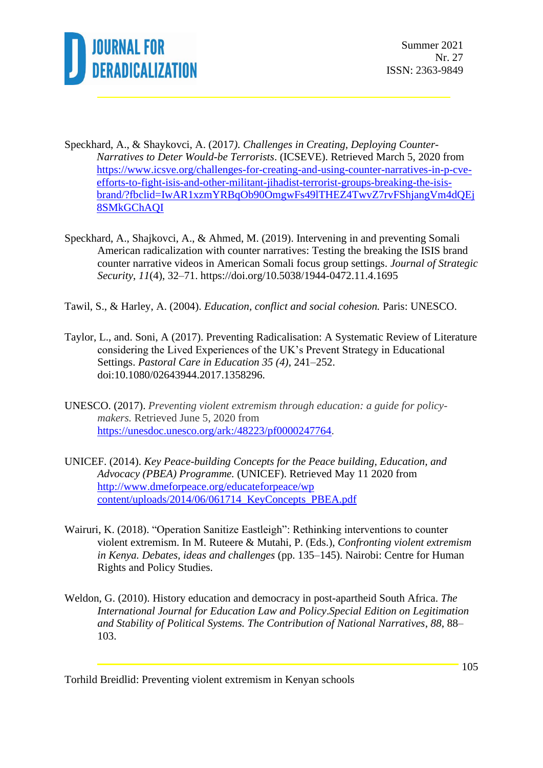

- Speckhard, A., & Shaykovci, A. (2017*). Challenges in Creating, Deploying Counter-Narratives to Deter Would-be Terrorists*. (ICSEVE). Retrieved March 5, 2020 from [https://www.icsve.org/challenges-for-creating-and-using-counter-narratives-in-p-cve](https://www.icsve.org/challenges-for-creating-and-using-counter-narratives-in-p-cve-efforts-to-fight-isis-and-other-militant-jihadist-terrorist-groups-breaking-the-isis-brand/?fbclid=IwAR1xzmYRBqOb90OmgwFs49lTHEZ4TwvZ7rvFShjangVm4dQEj8SMkGChAQI)[efforts-to-fight-isis-and-other-militant-jihadist-terrorist-groups-breaking-the-isis](https://www.icsve.org/challenges-for-creating-and-using-counter-narratives-in-p-cve-efforts-to-fight-isis-and-other-militant-jihadist-terrorist-groups-breaking-the-isis-brand/?fbclid=IwAR1xzmYRBqOb90OmgwFs49lTHEZ4TwvZ7rvFShjangVm4dQEj8SMkGChAQI)[brand/?fbclid=IwAR1xzmYRBqOb90OmgwFs49lTHEZ4TwvZ7rvFShjangVm4dQEj](https://www.icsve.org/challenges-for-creating-and-using-counter-narratives-in-p-cve-efforts-to-fight-isis-and-other-militant-jihadist-terrorist-groups-breaking-the-isis-brand/?fbclid=IwAR1xzmYRBqOb90OmgwFs49lTHEZ4TwvZ7rvFShjangVm4dQEj8SMkGChAQI) [8SMkGChAQI](https://www.icsve.org/challenges-for-creating-and-using-counter-narratives-in-p-cve-efforts-to-fight-isis-and-other-militant-jihadist-terrorist-groups-breaking-the-isis-brand/?fbclid=IwAR1xzmYRBqOb90OmgwFs49lTHEZ4TwvZ7rvFShjangVm4dQEj8SMkGChAQI)
- Speckhard, A., Shajkovci, A., & Ahmed, M. (2019). Intervening in and preventing Somali American radicalization with counter narratives: Testing the breaking the ISIS brand counter narrative videos in American Somali focus group settings. *Journal of Strategic Security*, *11*(4), 32–71. https://doi.org/10.5038/1944-0472.11.4.1695
- Tawil, S., & Harley, A. (2004). *Education, conflict and social cohesion.* Paris: UNESCO.
- Taylor, L., and. Soni, A (2017). Preventing Radicalisation: A Systematic Review of Literature considering the Lived Experiences of the UK's Prevent Strategy in Educational Settings. *Pastoral Care in Education 35 (4)*, 241–252. doi:10.1080/02643944.2017.1358296.
- UNESCO. (2017). *Preventing violent extremism through education: a guide for policymakers.* Retrieved June 5, 2020 from [https://unesdoc.unesco.org/ark:/48223/pf0000247764.](https://unesdoc.unesco.org/ark:/48223/pf0000247764)
- UNICEF. (2014). *Key Peace-building Concepts for the Peace building, Education, and Advocacy (PBEA) Programme.* (UNICEF). Retrieved May 11 2020 from [http://www.dmeforpeace.org/educateforpeace/wp](http://www.dmeforpeace.org/educateforpeace/wp%20content/uploads/2014/06/061714_KeyConcepts_PBEA.pdf)  [content/uploads/2014/06/061714\\_KeyConcepts\\_PBEA.pdf](http://www.dmeforpeace.org/educateforpeace/wp%20content/uploads/2014/06/061714_KeyConcepts_PBEA.pdf)
- Wairuri, K. (2018). "Operation Sanitize Eastleigh": Rethinking interventions to counter violent extremism. In M. Ruteere & Mutahi, P. (Eds.), *Confronting violent extremism in Kenya. Debates, ideas and challenges* (pp. 135–145). Nairobi: Centre for Human Rights and Policy Studies.
- Weldon, G. (2010). History education and democracy in post-apartheid South Africa. *The International Journal for Education Law and Policy*.*Special Edition on Legitimation and Stability of Political Systems. The Contribution of National Narratives*, *88*, 88– 103.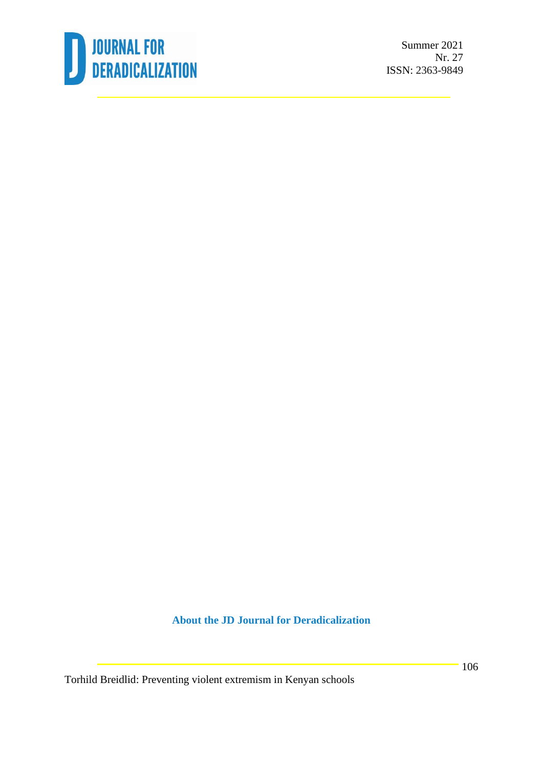

Summer 2021 Nr. 27 ISSN: 2363-9849

**About the JD Journal for Deradicalization**

Torhild Breidlid: Preventing violent extremism in Kenyan schools

106